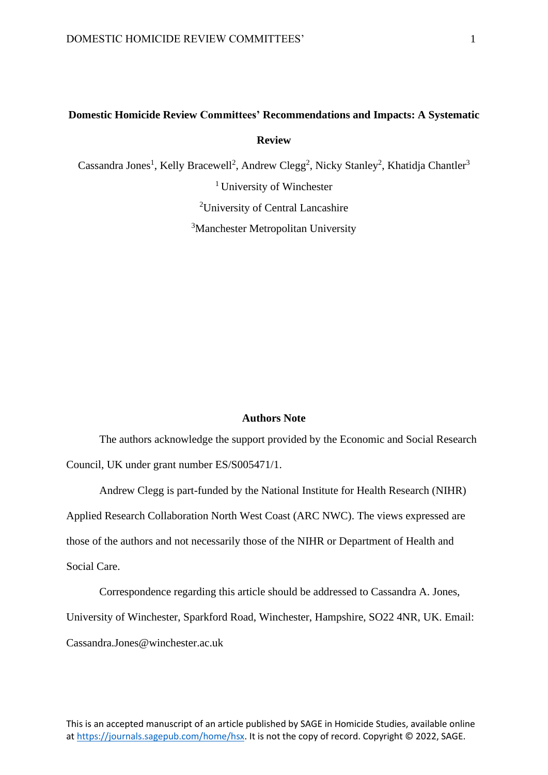## **Domestic Homicide Review Committees' Recommendations and Impacts: A Systematic Review**

Cassandra Jones<sup>1</sup>, Kelly Bracewell<sup>2</sup>, Andrew Clegg<sup>2</sup>, Nicky Stanley<sup>2</sup>, Khatidja Chantler<sup>3</sup> <sup>1</sup> University of Winchester <sup>2</sup>University of Central Lancashire

<sup>3</sup>Manchester Metropolitan University

## **Authors Note**

The authors acknowledge the support provided by the Economic and Social Research Council, UK under grant number ES/S005471/1.

Andrew Clegg is part-funded by the National Institute for Health Research (NIHR) Applied Research Collaboration North West Coast (ARC NWC). The views expressed are those of the authors and not necessarily those of the NIHR or Department of Health and Social Care.

Correspondence regarding this article should be addressed to Cassandra A. Jones, University of Winchester, Sparkford Road, Winchester, Hampshire, SO22 4NR, UK. Email: [Cassandra.Jones@winchester.ac.uk](mailto:Cassandra.Jones@mmu.ac.uk)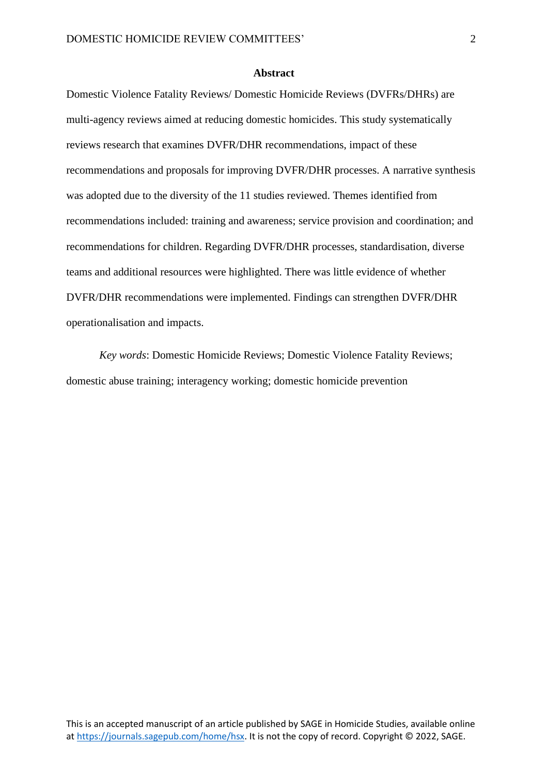#### **Abstract**

Domestic Violence Fatality Reviews/ Domestic Homicide Reviews (DVFRs/DHRs) are multi-agency reviews aimed at reducing domestic homicides. This study systematically reviews research that examines DVFR/DHR recommendations, impact of these recommendations and proposals for improving DVFR/DHR processes. A narrative synthesis was adopted due to the diversity of the 11 studies reviewed. Themes identified from recommendations included: training and awareness; service provision and coordination; and recommendations for children. Regarding DVFR/DHR processes, standardisation, diverse teams and additional resources were highlighted. There was little evidence of whether DVFR/DHR recommendations were implemented. Findings can strengthen DVFR/DHR operationalisation and impacts.

*Key words*: Domestic Homicide Reviews; Domestic Violence Fatality Reviews; domestic abuse training; interagency working; domestic homicide prevention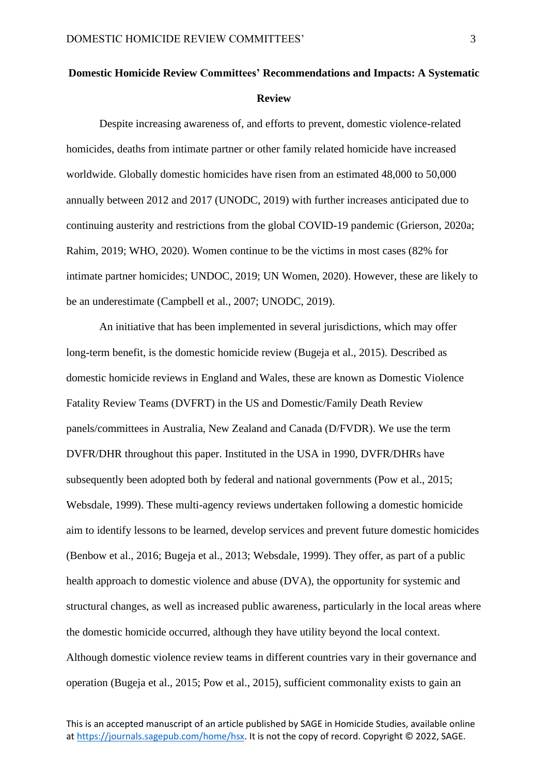# **Domestic Homicide Review Committees' Recommendations and Impacts: A Systematic Review**

Despite increasing awareness of, and efforts to prevent, domestic violence-related homicides, deaths from intimate partner or other family related homicide have increased worldwide. Globally domestic homicides have risen from an estimated 48,000 to 50,000 annually between 2012 and 2017 (UNODC, 2019) with further increases anticipated due to continuing austerity and restrictions from the global COVID-19 pandemic (Grierson, 2020a; Rahim, 2019; WHO, 2020). Women continue to be the victims in most cases (82% for intimate partner homicides; UNDOC, 2019; UN Women, 2020). However, these are likely to be an underestimate (Campbell et al., 2007; UNODC, 2019).

An initiative that has been implemented in several jurisdictions, which may offer long-term benefit, is the domestic homicide review (Bugeja et al., 2015). Described as domestic homicide reviews in England and Wales, these are known as Domestic Violence Fatality Review Teams (DVFRT) in the US and Domestic/Family Death Review panels/committees in Australia, New Zealand and Canada (D/FVDR). We use the term DVFR/DHR throughout this paper. Instituted in the USA in 1990, DVFR/DHRs have subsequently been adopted both by federal and national governments (Pow et al., 2015; Websdale, 1999). These multi-agency reviews undertaken following a domestic homicide aim to identify lessons to be learned, develop services and prevent future domestic homicides (Benbow et al., 2016; Bugeja et al., 2013; Websdale, 1999). They offer, as part of a public health approach to domestic violence and abuse (DVA), the opportunity for systemic and structural changes, as well as increased public awareness, particularly in the local areas where the domestic homicide occurred, although they have utility beyond the local context. Although domestic violence review teams in different countries vary in their governance and operation (Bugeja et al., 2015; Pow et al., 2015), sufficient commonality exists to gain an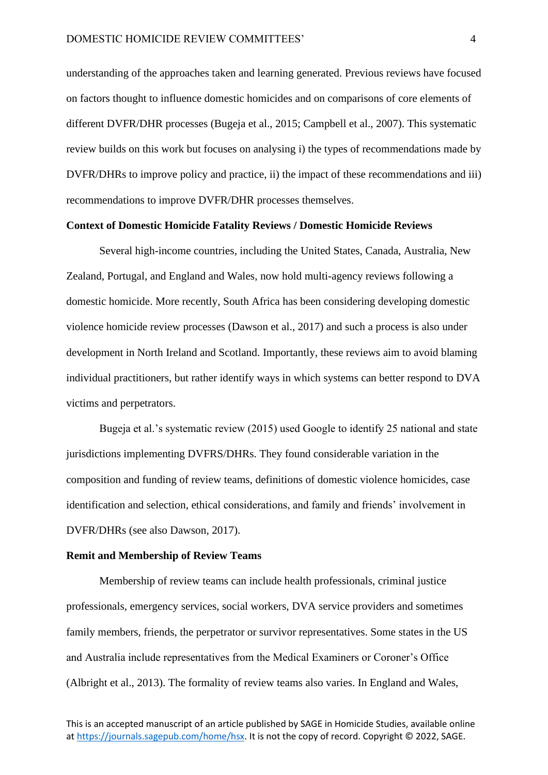understanding of the approaches taken and learning generated. Previous reviews have focused on factors thought to influence domestic homicides and on comparisons of core elements of different DVFR/DHR processes (Bugeja et al., 2015; Campbell et al., 2007). This systematic review builds on this work but focuses on analysing i) the types of recommendations made by DVFR/DHRs to improve policy and practice, ii) the impact of these recommendations and iii) recommendations to improve DVFR/DHR processes themselves.

#### **Context of Domestic Homicide Fatality Reviews / Domestic Homicide Reviews**

Several high-income countries, including the United States, Canada, Australia, New Zealand, Portugal, and England and Wales, now hold multi-agency reviews following a domestic homicide. More recently, South Africa has been considering developing domestic violence homicide review processes (Dawson et al., 2017) and such a process is also under development in North Ireland and Scotland. Importantly, these reviews aim to avoid blaming individual practitioners, but rather identify ways in which systems can better respond to DVA victims and perpetrators.

Bugeja et al.'s systematic review (2015) used Google to identify 25 national and state jurisdictions implementing DVFRS/DHRs. They found considerable variation in the composition and funding of review teams, definitions of domestic violence homicides, case identification and selection, ethical considerations, and family and friends' involvement in DVFR/DHRs (see also Dawson, 2017).

#### **Remit and Membership of Review Teams**

Membership of review teams can include health professionals, criminal justice professionals, emergency services, social workers, DVA service providers and sometimes family members, friends, the perpetrator or survivor representatives. Some states in the US and Australia include representatives from the Medical Examiners or Coroner's Office (Albright et al., 2013). The formality of review teams also varies. In England and Wales,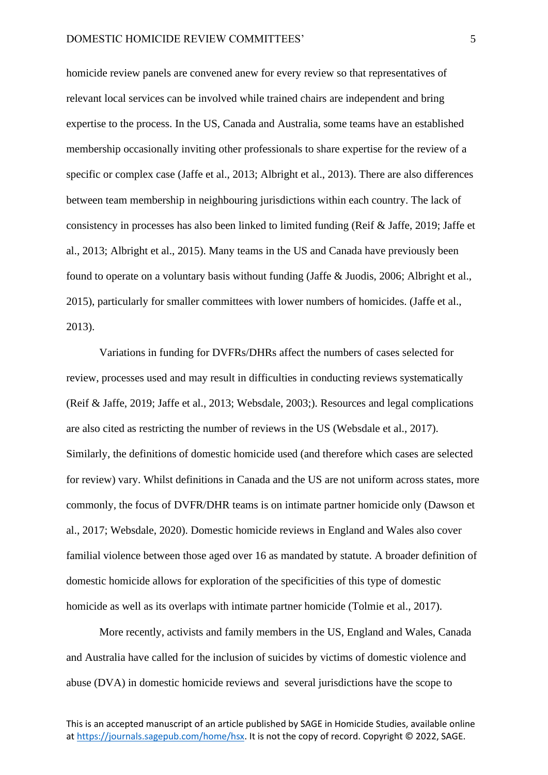homicide review panels are convened anew for every review so that representatives of relevant local services can be involved while trained chairs are independent and bring expertise to the process. In the US, Canada and Australia, some teams have an established membership occasionally inviting other professionals to share expertise for the review of a specific or complex case (Jaffe et al., 2013; Albright et al., 2013). There are also differences between team membership in neighbouring jurisdictions within each country. The lack of consistency in processes has also been linked to limited funding (Reif & Jaffe, 2019; Jaffe et al., 2013; Albright et al., 2015). Many teams in the US and Canada have previously been found to operate on a voluntary basis without funding (Jaffe & Juodis, 2006; Albright et al., 2015), particularly for smaller committees with lower numbers of homicides. (Jaffe et al., 2013).

Variations in funding for DVFRs/DHRs affect the numbers of cases selected for review, processes used and may result in difficulties in conducting reviews systematically (Reif & Jaffe, 2019; Jaffe et al., 2013; Websdale, 2003;). Resources and legal complications are also cited as restricting the number of reviews in the US (Websdale et al., 2017). Similarly, the definitions of domestic homicide used (and therefore which cases are selected for review) vary. Whilst definitions in Canada and the US are not uniform across states, more commonly, the focus of DVFR/DHR teams is on intimate partner homicide only (Dawson et al., 2017; Websdale, 2020). Domestic homicide reviews in England and Wales also cover familial violence between those aged over 16 as mandated by statute. A broader definition of domestic homicide allows for exploration of the specificities of this type of domestic homicide as well as its overlaps with intimate partner homicide (Tolmie et al., 2017).

More recently, activists and family members in the US, England and Wales, Canada and Australia have called for the inclusion of suicides by victims of domestic violence and abuse (DVA) in domestic homicide reviews and several jurisdictions have the scope to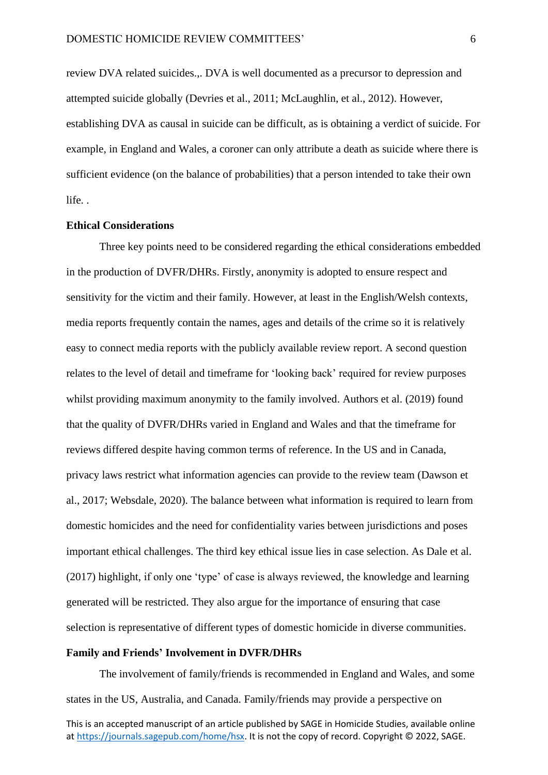review DVA related suicides.,. DVA is well documented as a precursor to depression and attempted suicide globally (Devries et al., 2011; McLaughlin, et al., 2012). However, establishing DVA as causal in suicide can be difficult, as is obtaining a verdict of suicide. For example, in England and Wales, a coroner can only attribute a death as suicide where there is sufficient evidence (on the balance of probabilities) that a person intended to take their own life. .

#### **Ethical Considerations**

Three key points need to be considered regarding the ethical considerations embedded in the production of DVFR/DHRs. Firstly, anonymity is adopted to ensure respect and sensitivity for the victim and their family. However, at least in the English/Welsh contexts, media reports frequently contain the names, ages and details of the crime so it is relatively easy to connect media reports with the publicly available review report. A second question relates to the level of detail and timeframe for 'looking back' required for review purposes whilst providing maximum anonymity to the family involved. Authors et al. (2019) found that the quality of DVFR/DHRs varied in England and Wales and that the timeframe for reviews differed despite having common terms of reference. In the US and in Canada, privacy laws restrict what information agencies can provide to the review team (Dawson et al., 2017; Websdale, 2020). The balance between what information is required to learn from domestic homicides and the need for confidentiality varies between jurisdictions and poses important ethical challenges. The third key ethical issue lies in case selection. As Dale et al. (2017) highlight, if only one 'type' of case is always reviewed, the knowledge and learning generated will be restricted. They also argue for the importance of ensuring that case selection is representative of different types of domestic homicide in diverse communities.

## **Family and Friends' Involvement in DVFR/DHRs**

The involvement of family/friends is recommended in England and Wales, and some states in the US, Australia, and Canada. Family/friends may provide a perspective on

This is an accepted manuscript of an article published by SAGE in Homicide Studies, available online a[t https://journals.sagepub.com/home/hsx.](https://journals.sagepub.com/home/hsx) It is not the copy of record. Copyright © 2022, SAGE.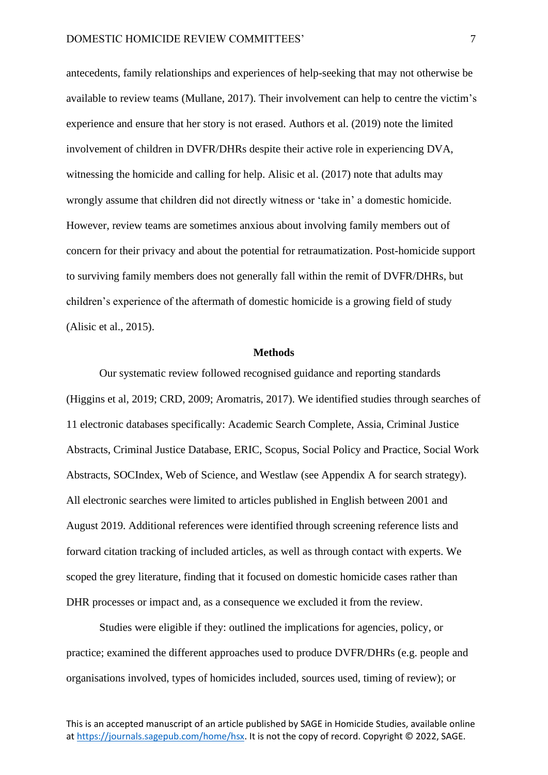antecedents, family relationships and experiences of help-seeking that may not otherwise be available to review teams (Mullane, 2017). Their involvement can help to centre the victim's experience and ensure that her story is not erased. Authors et al. (2019) note the limited involvement of children in DVFR/DHRs despite their active role in experiencing DVA, witnessing the homicide and calling for help. Alisic et al. (2017) note that adults may wrongly assume that children did not directly witness or 'take in' a domestic homicide. However, review teams are sometimes anxious about involving family members out of concern for their privacy and about the potential for retraumatization. Post-homicide support to surviving family members does not generally fall within the remit of DVFR/DHRs, but children's experience of the aftermath of domestic homicide is a growing field of study (Alisic et al., 2015).

#### **Methods**

Our systematic review followed recognised guidance and reporting standards (Higgins et al, 2019; CRD, 2009; Aromatris, 2017). We identified studies through searches of 11 electronic databases specifically: Academic Search Complete, Assia, Criminal Justice Abstracts, Criminal Justice Database, ERIC, Scopus, Social Policy and Practice, Social Work Abstracts, SOCIndex, Web of Science, and Westlaw (see Appendix A for search strategy). All electronic searches were limited to articles published in English between 2001 and August 2019. Additional references were identified through screening reference lists and forward citation tracking of included articles, as well as through contact with experts. We scoped the grey literature, finding that it focused on domestic homicide cases rather than DHR processes or impact and, as a consequence we excluded it from the review.

Studies were eligible if they: outlined the implications for agencies, policy, or practice; examined the different approaches used to produce DVFR/DHRs (e.g. people and organisations involved, types of homicides included, sources used, timing of review); or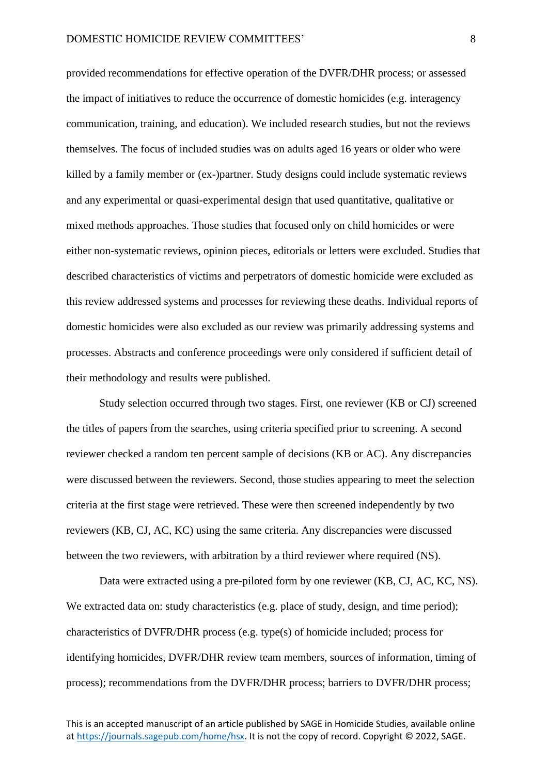provided recommendations for effective operation of the DVFR/DHR process; or assessed the impact of initiatives to reduce the occurrence of domestic homicides (e.g. interagency communication, training, and education). We included research studies, but not the reviews themselves. The focus of included studies was on adults aged 16 years or older who were killed by a family member or (ex-)partner. Study designs could include systematic reviews and any experimental or quasi-experimental design that used quantitative, qualitative or mixed methods approaches. Those studies that focused only on child homicides or were either non-systematic reviews, opinion pieces, editorials or letters were excluded. Studies that described characteristics of victims and perpetrators of domestic homicide were excluded as this review addressed systems and processes for reviewing these deaths. Individual reports of domestic homicides were also excluded as our review was primarily addressing systems and processes. Abstracts and conference proceedings were only considered if sufficient detail of their methodology and results were published.

Study selection occurred through two stages. First, one reviewer (KB or CJ) screened the titles of papers from the searches, using criteria specified prior to screening. A second reviewer checked a random ten percent sample of decisions (KB or AC). Any discrepancies were discussed between the reviewers. Second, those studies appearing to meet the selection criteria at the first stage were retrieved. These were then screened independently by two reviewers (KB, CJ, AC, KC) using the same criteria. Any discrepancies were discussed between the two reviewers, with arbitration by a third reviewer where required (NS).

Data were extracted using a pre-piloted form by one reviewer (KB, CJ, AC, KC, NS). We extracted data on: study characteristics (e.g. place of study, design, and time period); characteristics of DVFR/DHR process (e.g. type(s) of homicide included; process for identifying homicides, DVFR/DHR review team members, sources of information, timing of process); recommendations from the DVFR/DHR process; barriers to DVFR/DHR process;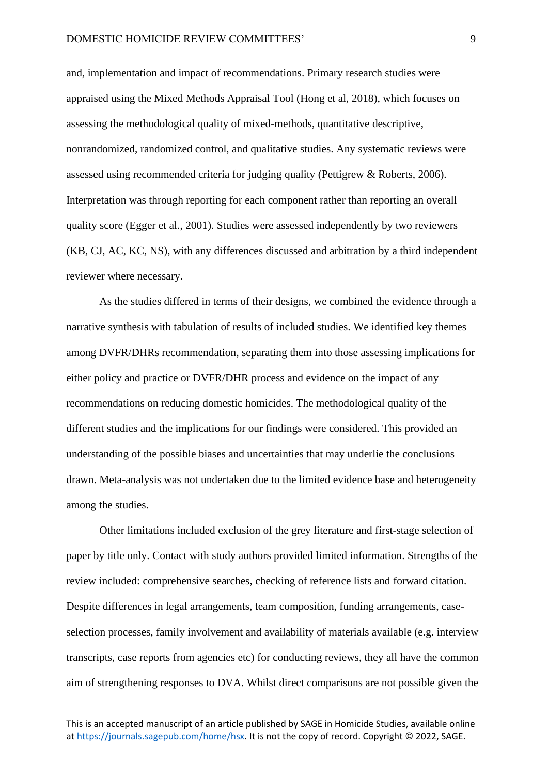and, implementation and impact of recommendations. Primary research studies were appraised using the Mixed Methods Appraisal Tool (Hong et al, 2018), which focuses on assessing the methodological quality of mixed-methods, quantitative descriptive, nonrandomized, randomized control, and qualitative studies. Any systematic reviews were assessed using recommended criteria for judging quality (Pettigrew & Roberts, 2006). Interpretation was through reporting for each component rather than reporting an overall quality score (Egger et al., 2001). Studies were assessed independently by two reviewers (KB, CJ, AC, KC, NS), with any differences discussed and arbitration by a third independent reviewer where necessary.

As the studies differed in terms of their designs, we combined the evidence through a narrative synthesis with tabulation of results of included studies. We identified key themes among DVFR/DHRs recommendation, separating them into those assessing implications for either policy and practice or DVFR/DHR process and evidence on the impact of any recommendations on reducing domestic homicides. The methodological quality of the different studies and the implications for our findings were considered. This provided an understanding of the possible biases and uncertainties that may underlie the conclusions drawn. Meta-analysis was not undertaken due to the limited evidence base and heterogeneity among the studies.

Other limitations included exclusion of the grey literature and first-stage selection of paper by title only. Contact with study authors provided limited information. Strengths of the review included: comprehensive searches, checking of reference lists and forward citation. Despite differences in legal arrangements, team composition, funding arrangements, caseselection processes, family involvement and availability of materials available (e.g. interview transcripts, case reports from agencies etc) for conducting reviews, they all have the common aim of strengthening responses to DVA. Whilst direct comparisons are not possible given the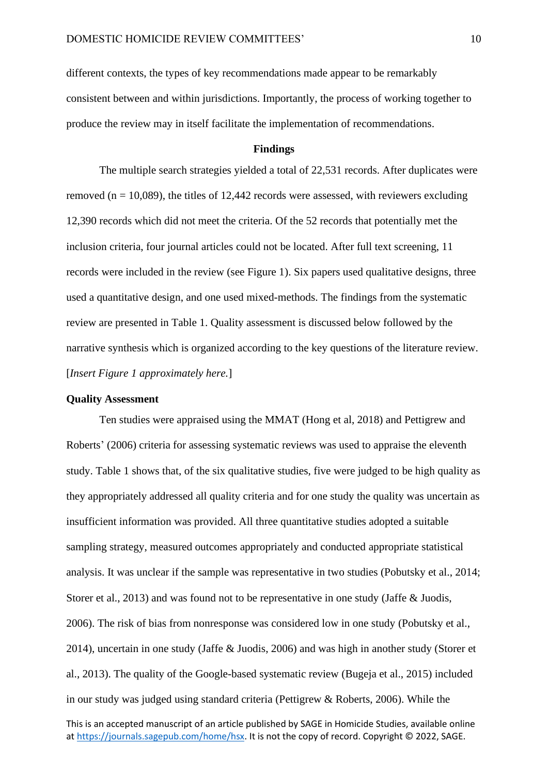different contexts, the types of key recommendations made appear to be remarkably consistent between and within jurisdictions. Importantly, the process of working together to produce the review may in itself facilitate the implementation of recommendations.

## **Findings**

The multiple search strategies yielded a total of 22,531 records. After duplicates were removed ( $n = 10,089$ ), the titles of 12,442 records were assessed, with reviewers excluding 12,390 records which did not meet the criteria. Of the 52 records that potentially met the inclusion criteria, four journal articles could not be located. After full text screening, 11 records were included in the review (see Figure 1). Six papers used qualitative designs, three used a quantitative design, and one used mixed-methods. The findings from the systematic review are presented in Table 1. Quality assessment is discussed below followed by the narrative synthesis which is organized according to the key questions of the literature review. [*Insert Figure 1 approximately here.*]

#### **Quality Assessment**

Ten studies were appraised using the MMAT (Hong et al, 2018) and Pettigrew and Roberts' (2006) criteria for assessing systematic reviews was used to appraise the eleventh study. Table 1 shows that, of the six qualitative studies, five were judged to be high quality as they appropriately addressed all quality criteria and for one study the quality was uncertain as insufficient information was provided. All three quantitative studies adopted a suitable sampling strategy, measured outcomes appropriately and conducted appropriate statistical analysis. It was unclear if the sample was representative in two studies (Pobutsky et al., 2014; Storer et al., 2013) and was found not to be representative in one study (Jaffe & Juodis, 2006). The risk of bias from nonresponse was considered low in one study (Pobutsky et al., 2014), uncertain in one study (Jaffe & Juodis, 2006) and was high in another study (Storer et al., 2013). The quality of the Google-based systematic review (Bugeja et al., 2015) included in our study was judged using standard criteria (Pettigrew & Roberts, 2006). While the

This is an accepted manuscript of an article published by SAGE in Homicide Studies, available online a[t https://journals.sagepub.com/home/hsx.](https://journals.sagepub.com/home/hsx) It is not the copy of record. Copyright © 2022, SAGE.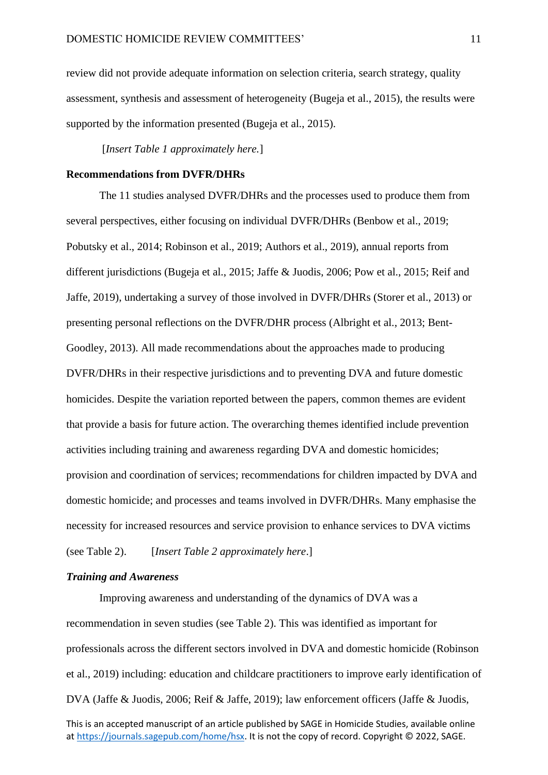review did not provide adequate information on selection criteria, search strategy, quality assessment, synthesis and assessment of heterogeneity (Bugeja et al., 2015), the results were supported by the information presented (Bugeja et al., 2015).

[*Insert Table 1 approximately here.*]

#### **Recommendations from DVFR/DHRs**

The 11 studies analysed DVFR/DHRs and the processes used to produce them from several perspectives, either focusing on individual DVFR/DHRs (Benbow et al., 2019; Pobutsky et al., 2014; Robinson et al., 2019; Authors et al., 2019), annual reports from different jurisdictions (Bugeja et al., 2015; Jaffe & Juodis, 2006; Pow et al., 2015; Reif and Jaffe, 2019), undertaking a survey of those involved in DVFR/DHRs (Storer et al., 2013) or presenting personal reflections on the DVFR/DHR process (Albright et al., 2013; Bent-Goodley, 2013). All made recommendations about the approaches made to producing DVFR/DHRs in their respective jurisdictions and to preventing DVA and future domestic homicides. Despite the variation reported between the papers, common themes are evident that provide a basis for future action. The overarching themes identified include prevention activities including training and awareness regarding DVA and domestic homicides; provision and coordination of services; recommendations for children impacted by DVA and domestic homicide; and processes and teams involved in DVFR/DHRs. Many emphasise the necessity for increased resources and service provision to enhance services to DVA victims (see Table 2). [*Insert Table 2 approximately here*.]

#### *Training and Awareness*

Improving awareness and understanding of the dynamics of DVA was a recommendation in seven studies (see Table 2). This was identified as important for professionals across the different sectors involved in DVA and domestic homicide (Robinson et al., 2019) including: education and childcare practitioners to improve early identification of DVA (Jaffe & Juodis, 2006; Reif & Jaffe, 2019); law enforcement officers (Jaffe & Juodis,

This is an accepted manuscript of an article published by SAGE in Homicide Studies, available online a[t https://journals.sagepub.com/home/hsx.](https://journals.sagepub.com/home/hsx) It is not the copy of record. Copyright © 2022, SAGE.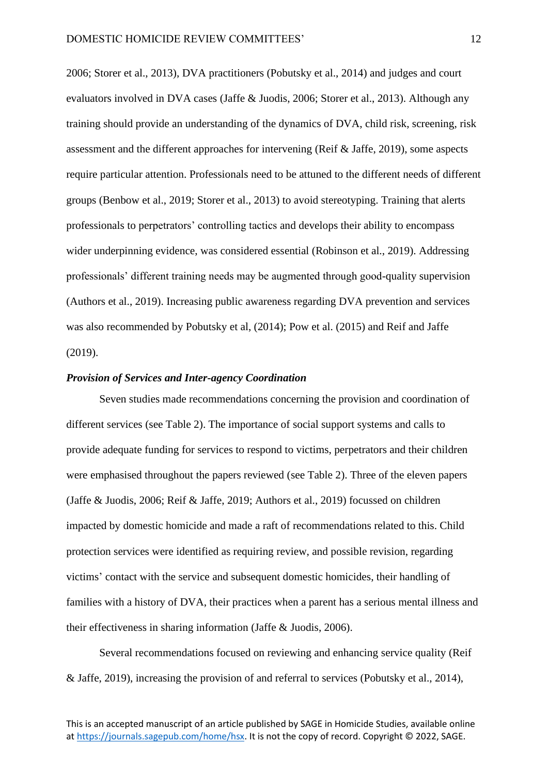2006; Storer et al., 2013), DVA practitioners (Pobutsky et al., 2014) and judges and court evaluators involved in DVA cases (Jaffe & Juodis, 2006; Storer et al., 2013). Although any training should provide an understanding of the dynamics of DVA, child risk, screening, risk assessment and the different approaches for intervening (Reif & Jaffe, 2019), some aspects require particular attention. Professionals need to be attuned to the different needs of different groups (Benbow et al., 2019; Storer et al., 2013) to avoid stereotyping. Training that alerts professionals to perpetrators' controlling tactics and develops their ability to encompass wider underpinning evidence, was considered essential (Robinson et al., 2019). Addressing professionals' different training needs may be augmented through good-quality supervision (Authors et al., 2019). Increasing public awareness regarding DVA prevention and services was also recommended by Pobutsky et al, (2014); Pow et al. (2015) and Reif and Jaffe (2019).

## *Provision of Services and Inter-agency Coordination*

Seven studies made recommendations concerning the provision and coordination of different services (see Table 2). The importance of social support systems and calls to provide adequate funding for services to respond to victims, perpetrators and their children were emphasised throughout the papers reviewed (see Table 2). Three of the eleven papers (Jaffe & Juodis, 2006; Reif & Jaffe, 2019; Authors et al., 2019) focussed on children impacted by domestic homicide and made a raft of recommendations related to this. Child protection services were identified as requiring review, and possible revision, regarding victims' contact with the service and subsequent domestic homicides, their handling of families with a history of DVA, their practices when a parent has a serious mental illness and their effectiveness in sharing information (Jaffe & Juodis, 2006).

Several recommendations focused on reviewing and enhancing service quality (Reif & Jaffe, 2019), increasing the provision of and referral to services (Pobutsky et al., 2014),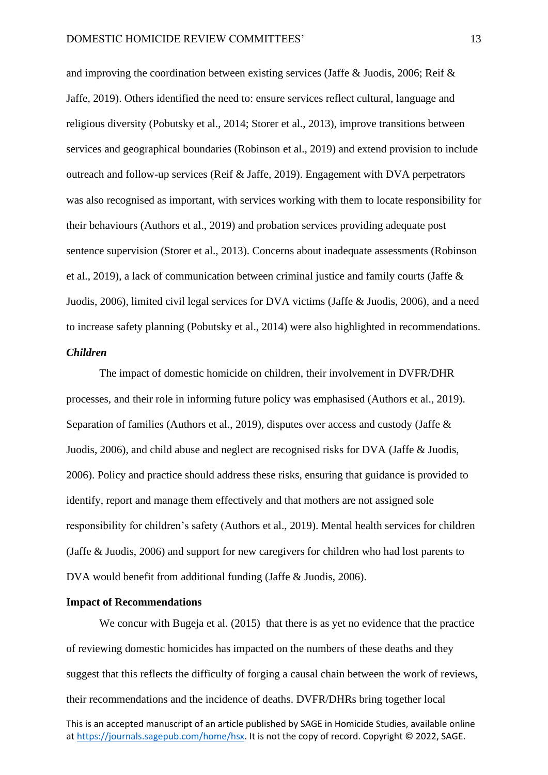and improving the coordination between existing services (Jaffe & Juodis, 2006; Reif & Jaffe, 2019). Others identified the need to: ensure services reflect cultural, language and religious diversity (Pobutsky et al., 2014; Storer et al., 2013), improve transitions between services and geographical boundaries (Robinson et al., 2019) and extend provision to include outreach and follow-up services (Reif & Jaffe, 2019). Engagement with DVA perpetrators was also recognised as important, with services working with them to locate responsibility for their behaviours (Authors et al., 2019) and probation services providing adequate post sentence supervision (Storer et al., 2013). Concerns about inadequate assessments (Robinson et al., 2019), a lack of communication between criminal justice and family courts (Jaffe & Juodis, 2006), limited civil legal services for DVA victims (Jaffe & Juodis, 2006), and a need to increase safety planning (Pobutsky et al., 2014) were also highlighted in recommendations.

#### *Children*

The impact of domestic homicide on children, their involvement in DVFR/DHR processes, and their role in informing future policy was emphasised (Authors et al., 2019). Separation of families (Authors et al., 2019), disputes over access and custody (Jaffe & Juodis, 2006), and child abuse and neglect are recognised risks for DVA (Jaffe & Juodis, 2006). Policy and practice should address these risks, ensuring that guidance is provided to identify, report and manage them effectively and that mothers are not assigned sole responsibility for children's safety (Authors et al., 2019). Mental health services for children (Jaffe & Juodis, 2006) and support for new caregivers for children who had lost parents to DVA would benefit from additional funding (Jaffe & Juodis, 2006).

#### **Impact of Recommendations**

We concur with Bugeja et al. (2015) that there is as yet no evidence that the practice of reviewing domestic homicides has impacted on the numbers of these deaths and they suggest that this reflects the difficulty of forging a causal chain between the work of reviews, their recommendations and the incidence of deaths. DVFR/DHRs bring together local

This is an accepted manuscript of an article published by SAGE in Homicide Studies, available online a[t https://journals.sagepub.com/home/hsx.](https://journals.sagepub.com/home/hsx) It is not the copy of record. Copyright © 2022, SAGE.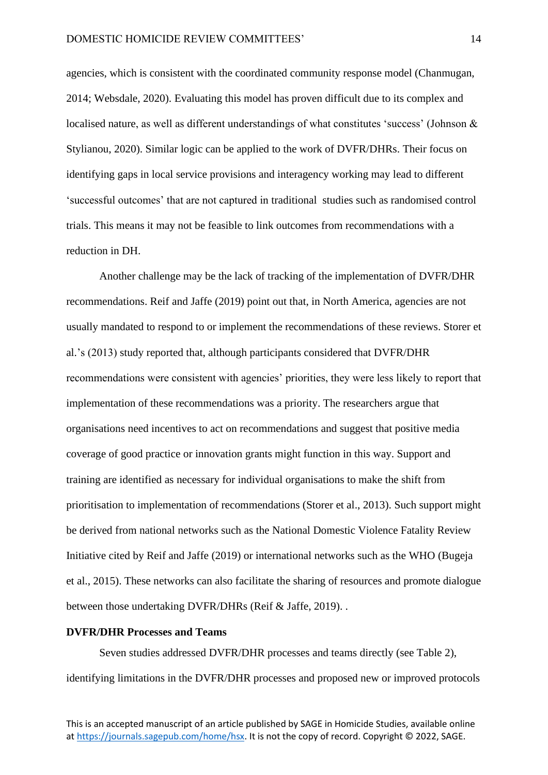agencies, which is consistent with the coordinated community response model (Chanmugan, 2014; Websdale, 2020). Evaluating this model has proven difficult due to its complex and localised nature, as well as different understandings of what constitutes 'success' (Johnson & Stylianou, 2020). Similar logic can be applied to the work of DVFR/DHRs. Their focus on identifying gaps in local service provisions and interagency working may lead to different 'successful outcomes' that are not captured in traditional studies such as randomised control trials. This means it may not be feasible to link outcomes from recommendations with a reduction in DH.

Another challenge may be the lack of tracking of the implementation of DVFR/DHR recommendations. Reif and Jaffe (2019) point out that, in North America, agencies are not usually mandated to respond to or implement the recommendations of these reviews. Storer et al.'s (2013) study reported that, although participants considered that DVFR/DHR recommendations were consistent with agencies' priorities, they were less likely to report that implementation of these recommendations was a priority. The researchers argue that organisations need incentives to act on recommendations and suggest that positive media coverage of good practice or innovation grants might function in this way. Support and training are identified as necessary for individual organisations to make the shift from prioritisation to implementation of recommendations (Storer et al., 2013). Such support might be derived from national networks such as the National Domestic Violence Fatality Review Initiative cited by Reif and Jaffe (2019) or international networks such as the WHO (Bugeja et al., 2015). These networks can also facilitate the sharing of resources and promote dialogue between those undertaking DVFR/DHRs (Reif & Jaffe, 2019). .

## **DVFR/DHR Processes and Teams**

Seven studies addressed DVFR/DHR processes and teams directly (see Table 2), identifying limitations in the DVFR/DHR processes and proposed new or improved protocols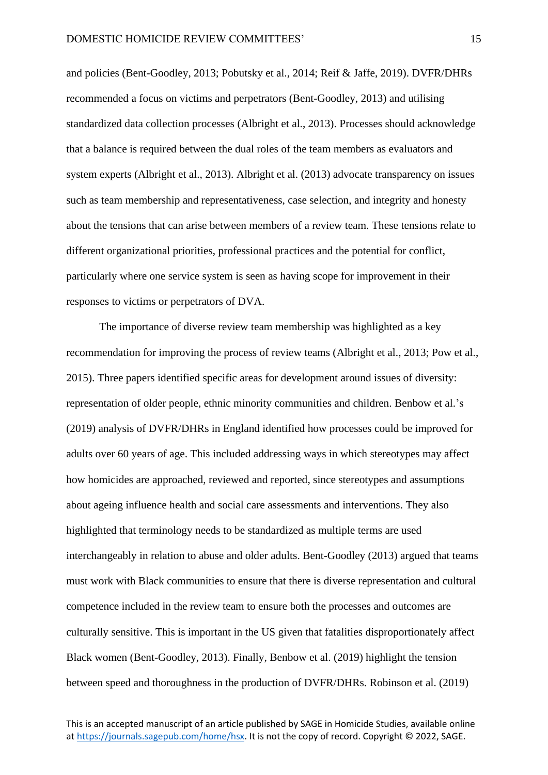and policies (Bent-Goodley, 2013; Pobutsky et al., 2014; Reif & Jaffe, 2019). DVFR/DHRs recommended a focus on victims and perpetrators (Bent-Goodley, 2013) and utilising standardized data collection processes (Albright et al., 2013). Processes should acknowledge that a balance is required between the dual roles of the team members as evaluators and system experts (Albright et al., 2013). Albright et al. (2013) advocate transparency on issues such as team membership and representativeness, case selection, and integrity and honesty about the tensions that can arise between members of a review team. These tensions relate to different organizational priorities, professional practices and the potential for conflict, particularly where one service system is seen as having scope for improvement in their responses to victims or perpetrators of DVA.

The importance of diverse review team membership was highlighted as a key recommendation for improving the process of review teams (Albright et al., 2013; Pow et al., 2015). Three papers identified specific areas for development around issues of diversity: representation of older people, ethnic minority communities and children. Benbow et al.'s (2019) analysis of DVFR/DHRs in England identified how processes could be improved for adults over 60 years of age. This included addressing ways in which stereotypes may affect how homicides are approached, reviewed and reported, since stereotypes and assumptions about ageing influence health and social care assessments and interventions. They also highlighted that terminology needs to be standardized as multiple terms are used interchangeably in relation to abuse and older adults. Bent-Goodley (2013) argued that teams must work with Black communities to ensure that there is diverse representation and cultural competence included in the review team to ensure both the processes and outcomes are culturally sensitive. This is important in the US given that fatalities disproportionately affect Black women (Bent-Goodley, 2013). Finally, Benbow et al. (2019) highlight the tension between speed and thoroughness in the production of DVFR/DHRs. Robinson et al. (2019)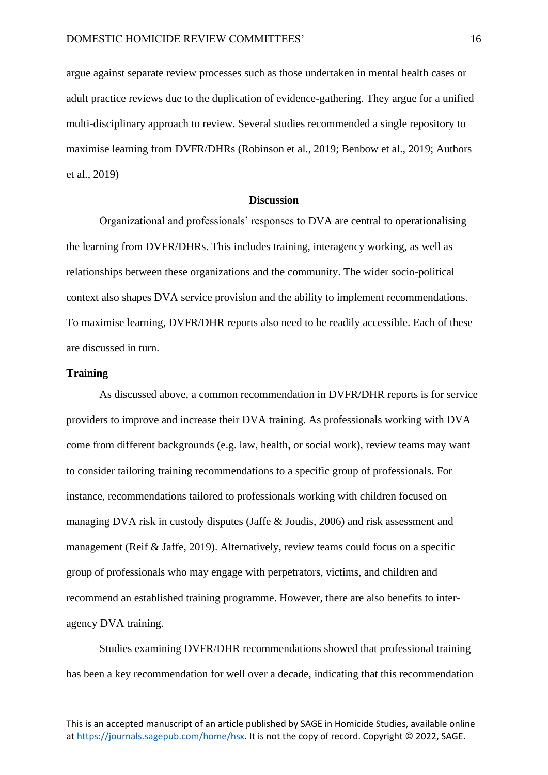argue against separate review processes such as those undertaken in mental health cases or adult practice reviews due to the duplication of evidence-gathering. They argue for a unified multi-disciplinary approach to review. Several studies recommended a single repository to maximise learning from DVFR/DHRs (Robinson et al., 2019; Benbow et al., 2019; Authors et al., 2019)

### **Discussion**

Organizational and professionals' responses to DVA are central to operationalising the learning from DVFR/DHRs. This includes training, interagency working, as well as relationships between these organizations and the community. The wider socio-political context also shapes DVA service provision and the ability to implement recommendations. To maximise learning, DVFR/DHR reports also need to be readily accessible. Each of these are discussed in turn.

## **Training**

As discussed above, a common recommendation in DVFR/DHR reports is for service providers to improve and increase their DVA training. As professionals working with DVA come from different backgrounds (e.g. law, health, or social work), review teams may want to consider tailoring training recommendations to a specific group of professionals. For instance, recommendations tailored to professionals working with children focused on managing DVA risk in custody disputes (Jaffe & Joudis, 2006) and risk assessment and management (Reif & Jaffe, 2019). Alternatively, review teams could focus on a specific group of professionals who may engage with perpetrators, victims, and children and recommend an established training programme. However, there are also benefits to interagency DVA training.

Studies examining DVFR/DHR recommendations showed that professional training has been a key recommendation for well over a decade, indicating that this recommendation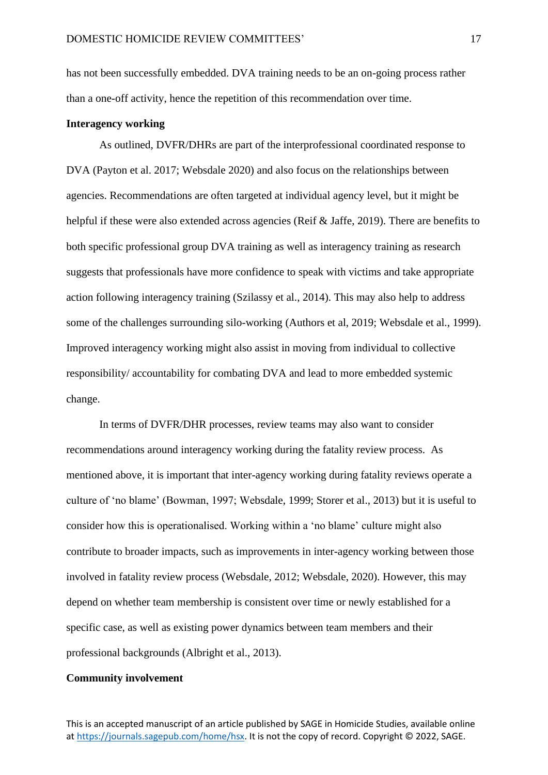has not been successfully embedded. DVA training needs to be an on-going process rather than a one-off activity, hence the repetition of this recommendation over time.

#### **Interagency working**

As outlined, DVFR/DHRs are part of the interprofessional coordinated response to DVA (Payton et al. 2017; Websdale 2020) and also focus on the relationships between agencies. Recommendations are often targeted at individual agency level, but it might be helpful if these were also extended across agencies (Reif & Jaffe, 2019). There are benefits to both specific professional group DVA training as well as interagency training as research suggests that professionals have more confidence to speak with victims and take appropriate action following interagency training (Szilassy et al., 2014). This may also help to address some of the challenges surrounding silo-working (Authors et al, 2019; Websdale et al., 1999). Improved interagency working might also assist in moving from individual to collective responsibility/ accountability for combating DVA and lead to more embedded systemic change.

In terms of DVFR/DHR processes, review teams may also want to consider recommendations around interagency working during the fatality review process. As mentioned above, it is important that inter-agency working during fatality reviews operate a culture of 'no blame' (Bowman, 1997; Websdale, 1999; Storer et al., 2013) but it is useful to consider how this is operationalised. Working within a 'no blame' culture might also contribute to broader impacts, such as improvements in inter-agency working between those involved in fatality review process (Websdale, 2012; Websdale, 2020). However, this may depend on whether team membership is consistent over time or newly established for a specific case, as well as existing power dynamics between team members and their professional backgrounds (Albright et al., 2013).

## **Community involvement**

This is an accepted manuscript of an article published by SAGE in Homicide Studies, available online a[t https://journals.sagepub.com/home/hsx.](https://journals.sagepub.com/home/hsx) It is not the copy of record. Copyright © 2022, SAGE.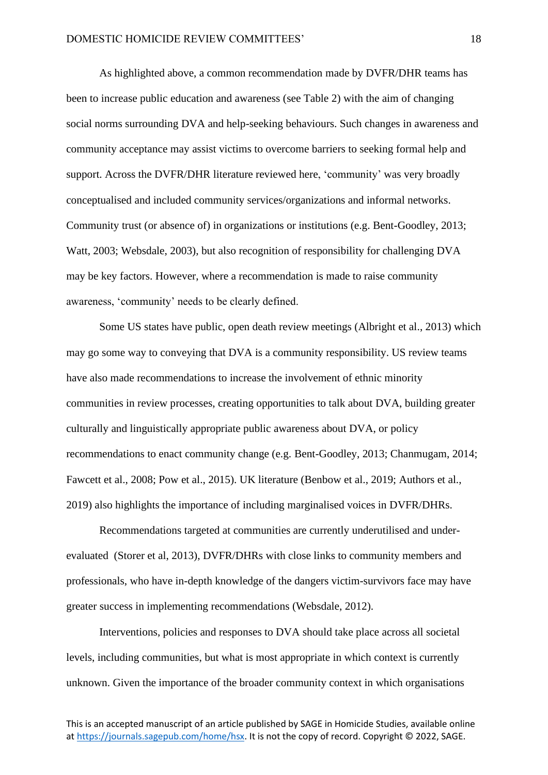As highlighted above, a common recommendation made by DVFR/DHR teams has been to increase public education and awareness (see Table 2) with the aim of changing social norms surrounding DVA and help-seeking behaviours. Such changes in awareness and community acceptance may assist victims to overcome barriers to seeking formal help and support. Across the DVFR/DHR literature reviewed here, 'community' was very broadly conceptualised and included community services/organizations and informal networks. Community trust (or absence of) in organizations or institutions (e.g. Bent-Goodley, 2013; Watt, 2003; Websdale, 2003), but also recognition of responsibility for challenging DVA may be key factors. However, where a recommendation is made to raise community awareness, 'community' needs to be clearly defined.

Some US states have public, open death review meetings (Albright et al., 2013) which may go some way to conveying that DVA is a community responsibility. US review teams have also made recommendations to increase the involvement of ethnic minority communities in review processes, creating opportunities to talk about DVA, building greater culturally and linguistically appropriate public awareness about DVA, or policy recommendations to enact community change (e.g. Bent-Goodley, 2013; Chanmugam, 2014; Fawcett et al., 2008; Pow et al., 2015). UK literature (Benbow et al., 2019; Authors et al., 2019) also highlights the importance of including marginalised voices in DVFR/DHRs.

Recommendations targeted at communities are currently underutilised and underevaluated (Storer et al, 2013), DVFR/DHRs with close links to community members and professionals, who have in-depth knowledge of the dangers victim-survivors face may have greater success in implementing recommendations (Websdale, 2012).

Interventions, policies and responses to DVA should take place across all societal levels, including communities, but what is most appropriate in which context is currently unknown. Given the importance of the broader community context in which organisations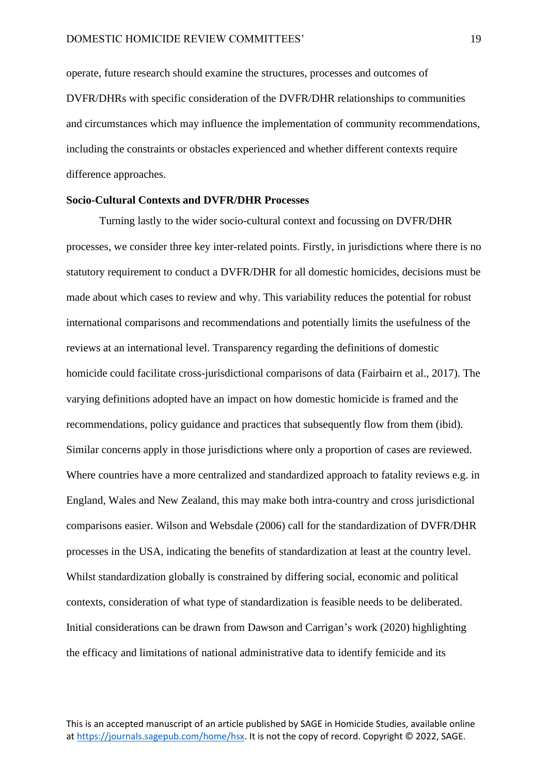operate, future research should examine the structures, processes and outcomes of DVFR/DHRs with specific consideration of the DVFR/DHR relationships to communities and circumstances which may influence the implementation of community recommendations, including the constraints or obstacles experienced and whether different contexts require difference approaches.

## **Socio-Cultural Contexts and DVFR/DHR Processes**

Turning lastly to the wider socio-cultural context and focussing on DVFR/DHR processes, we consider three key inter-related points. Firstly, in jurisdictions where there is no statutory requirement to conduct a DVFR/DHR for all domestic homicides, decisions must be made about which cases to review and why. This variability reduces the potential for robust international comparisons and recommendations and potentially limits the usefulness of the reviews at an international level. Transparency regarding the definitions of domestic homicide could facilitate cross-jurisdictional comparisons of data (Fairbairn et al., 2017). The varying definitions adopted have an impact on how domestic homicide is framed and the recommendations, policy guidance and practices that subsequently flow from them (ibid). Similar concerns apply in those jurisdictions where only a proportion of cases are reviewed. Where countries have a more centralized and standardized approach to fatality reviews e.g. in England, Wales and New Zealand, this may make both intra-country and cross jurisdictional comparisons easier. Wilson and Websdale (2006) call for the standardization of DVFR/DHR processes in the USA, indicating the benefits of standardization at least at the country level. Whilst standardization globally is constrained by differing social, economic and political contexts, consideration of what type of standardization is feasible needs to be deliberated. Initial considerations can be drawn from Dawson and Carrigan's work (2020) highlighting the efficacy and limitations of national administrative data to identify femicide and its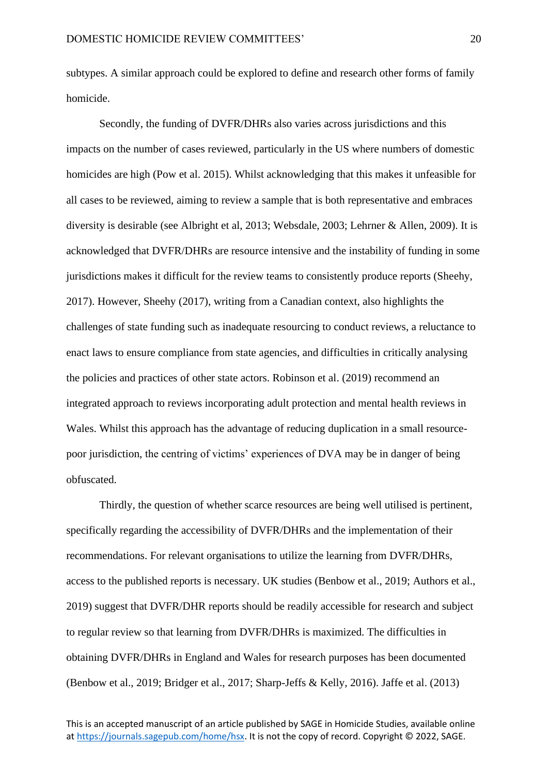subtypes. A similar approach could be explored to define and research other forms of family homicide.

Secondly, the funding of DVFR/DHRs also varies across jurisdictions and this impacts on the number of cases reviewed, particularly in the US where numbers of domestic homicides are high (Pow et al. 2015). Whilst acknowledging that this makes it unfeasible for all cases to be reviewed, aiming to review a sample that is both representative and embraces diversity is desirable (see Albright et al, 2013; Websdale, 2003; Lehrner & Allen, 2009). It is acknowledged that DVFR/DHRs are resource intensive and the instability of funding in some jurisdictions makes it difficult for the review teams to consistently produce reports (Sheehy, 2017). However, Sheehy (2017), writing from a Canadian context, also highlights the challenges of state funding such as inadequate resourcing to conduct reviews, a reluctance to enact laws to ensure compliance from state agencies, and difficulties in critically analysing the policies and practices of other state actors. Robinson et al. (2019) recommend an integrated approach to reviews incorporating adult protection and mental health reviews in Wales. Whilst this approach has the advantage of reducing duplication in a small resourcepoor jurisdiction, the centring of victims' experiences of DVA may be in danger of being obfuscated.

Thirdly, the question of whether scarce resources are being well utilised is pertinent, specifically regarding the accessibility of DVFR/DHRs and the implementation of their recommendations. For relevant organisations to utilize the learning from DVFR/DHRs, access to the published reports is necessary. UK studies (Benbow et al., 2019; Authors et al., 2019) suggest that DVFR/DHR reports should be readily accessible for research and subject to regular review so that learning from DVFR/DHRs is maximized. The difficulties in obtaining DVFR/DHRs in England and Wales for research purposes has been documented (Benbow et al., 2019; Bridger et al., 2017; Sharp-Jeffs & Kelly, 2016). Jaffe et al. (2013)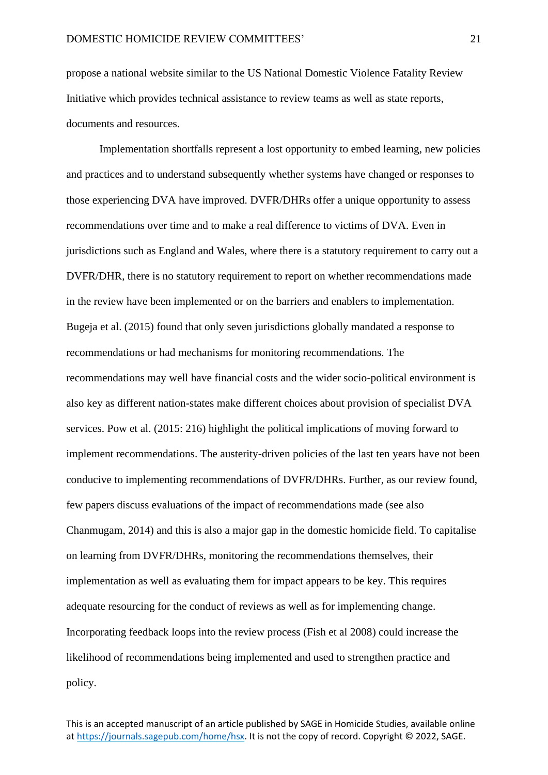propose a national website similar to the US National Domestic Violence Fatality Review Initiative which provides technical assistance to review teams as well as state reports, documents and resources.

Implementation shortfalls represent a lost opportunity to embed learning, new policies and practices and to understand subsequently whether systems have changed or responses to those experiencing DVA have improved. DVFR/DHRs offer a unique opportunity to assess recommendations over time and to make a real difference to victims of DVA. Even in jurisdictions such as England and Wales, where there is a statutory requirement to carry out a DVFR/DHR, there is no statutory requirement to report on whether recommendations made in the review have been implemented or on the barriers and enablers to implementation. Bugeja et al. (2015) found that only seven jurisdictions globally mandated a response to recommendations or had mechanisms for monitoring recommendations. The recommendations may well have financial costs and the wider socio-political environment is also key as different nation-states make different choices about provision of specialist DVA services. Pow et al. (2015: 216) highlight the political implications of moving forward to implement recommendations. The austerity-driven policies of the last ten years have not been conducive to implementing recommendations of DVFR/DHRs. Further, as our review found, few papers discuss evaluations of the impact of recommendations made (see also Chanmugam, 2014) and this is also a major gap in the domestic homicide field. To capitalise on learning from DVFR/DHRs, monitoring the recommendations themselves, their implementation as well as evaluating them for impact appears to be key. This requires adequate resourcing for the conduct of reviews as well as for implementing change. Incorporating feedback loops into the review process (Fish et al 2008) could increase the likelihood of recommendations being implemented and used to strengthen practice and policy.

This is an accepted manuscript of an article published by SAGE in Homicide Studies, available online a[t https://journals.sagepub.com/home/hsx.](https://journals.sagepub.com/home/hsx) It is not the copy of record. Copyright © 2022, SAGE.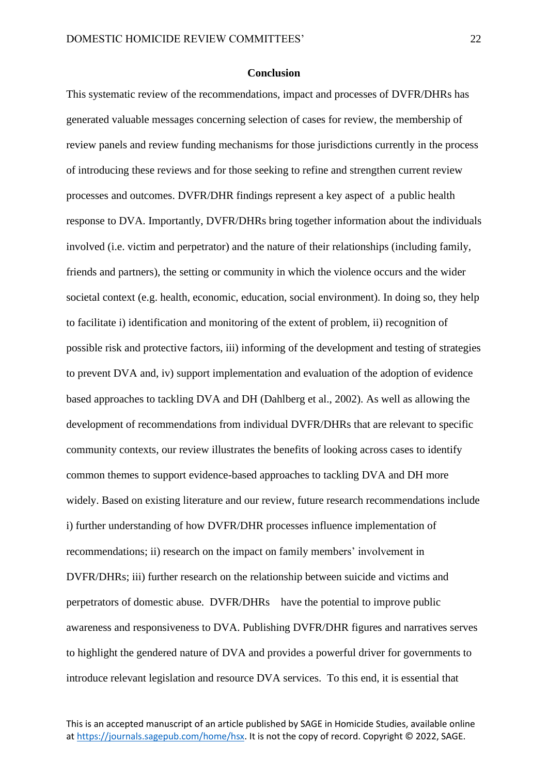#### **Conclusion**

This systematic review of the recommendations, impact and processes of DVFR/DHRs has generated valuable messages concerning selection of cases for review, the membership of review panels and review funding mechanisms for those jurisdictions currently in the process of introducing these reviews and for those seeking to refine and strengthen current review processes and outcomes. DVFR/DHR findings represent a key aspect of a public health response to DVA. Importantly, DVFR/DHRs bring together information about the individuals involved (i.e. victim and perpetrator) and the nature of their relationships (including family, friends and partners), the setting or community in which the violence occurs and the wider societal context (e.g. health, economic, education, social environment). In doing so, they help to facilitate i) identification and monitoring of the extent of problem, ii) recognition of possible risk and protective factors, iii) informing of the development and testing of strategies to prevent DVA and, iv) support implementation and evaluation of the adoption of evidence based approaches to tackling DVA and DH (Dahlberg et al., 2002). As well as allowing the development of recommendations from individual DVFR/DHRs that are relevant to specific community contexts, our review illustrates the benefits of looking across cases to identify common themes to support evidence-based approaches to tackling DVA and DH more widely. Based on existing literature and our review, future research recommendations include i) further understanding of how DVFR/DHR processes influence implementation of recommendations; ii) research on the impact on family members' involvement in DVFR/DHRs; iii) further research on the relationship between suicide and victims and perpetrators of domestic abuse. DVFR/DHRs have the potential to improve public awareness and responsiveness to DVA. Publishing DVFR/DHR figures and narratives serves to highlight the gendered nature of DVA and provides a powerful driver for governments to introduce relevant legislation and resource DVA services. To this end, it is essential that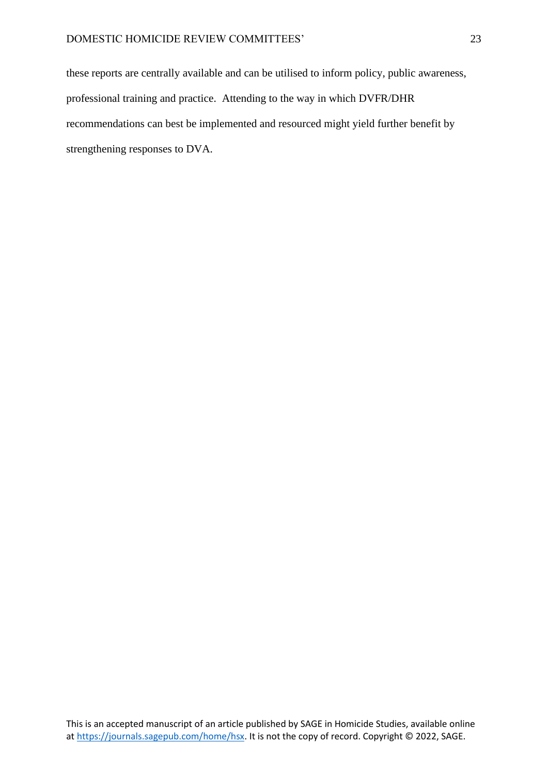these reports are centrally available and can be utilised to inform policy, public awareness, professional training and practice. Attending to the way in which DVFR/DHR recommendations can best be implemented and resourced might yield further benefit by strengthening responses to DVA.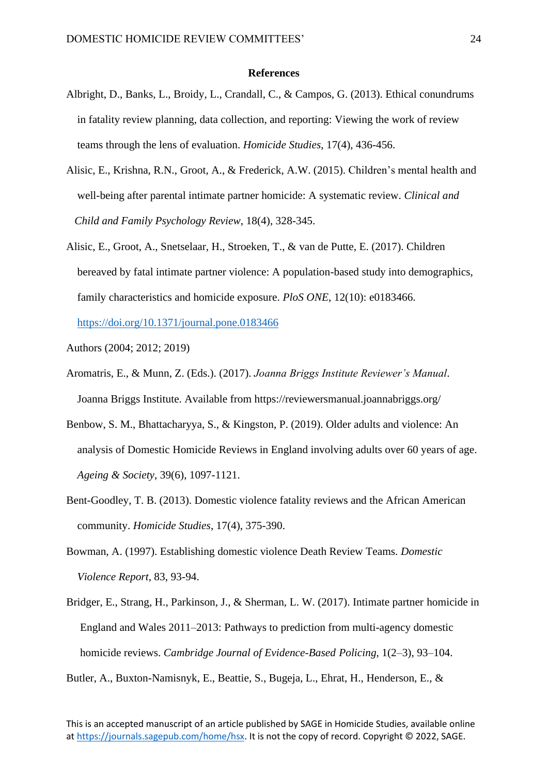#### **References**

- Albright, D., Banks, L., Broidy, L., Crandall, C., & Campos, G. (2013). Ethical conundrums in fatality review planning, data collection, and reporting: Viewing the work of review teams through the lens of evaluation. *Homicide Studies*, 17(4), 436-456.
- Alisic, E., Krishna, R.N., Groot, A., & Frederick, A.W. (2015). Children's mental health and well-being after parental intimate partner homicide: A systematic review. *Clinical and Child and Family Psychology Review*, 18(4), 328-345.
- Alisic, E., Groot, A., Snetselaar, H., Stroeken, T., & van de Putte, E. (2017). Children bereaved by fatal intimate partner violence: A population-based study into demographics, family characteristics and homicide exposure. *PloS ONE*, 12(10): e0183466.

<https://doi.org/10.1371/journal.pone.0183466>

- Authors (2004; 2012; 2019)
- Aromatris, E., & Munn, Z. (Eds.). (2017). *Joanna Briggs Institute Reviewer's Manual*. Joanna Briggs Institute. Available from https://reviewersmanual.joannabriggs.org/
- Benbow, S. M., Bhattacharyya, S., & Kingston, P. (2019). Older adults and violence: An analysis of Domestic Homicide Reviews in England involving adults over 60 years of age. *Ageing & Society*, 39(6), 1097-1121.
- Bent-Goodley, T. B. (2013). Domestic violence fatality reviews and the African American community. *Homicide Studies*, 17(4), 375-390.
- Bowman, A. (1997). Establishing domestic violence Death Review Teams. *Domestic Violence Report*, 83, 93-94.
- Bridger, E., Strang, H., Parkinson, J., & Sherman, L. W. (2017). Intimate partner homicide in England and Wales 2011–2013: Pathways to prediction from multi-agency domestic homicide reviews. *Cambridge Journal of Evidence-Based Policing*, 1(2–3), 93–104.

Butler, A., Buxton-Namisnyk, E., Beattie, S., Bugeja, L., Ehrat, H., Henderson, E., &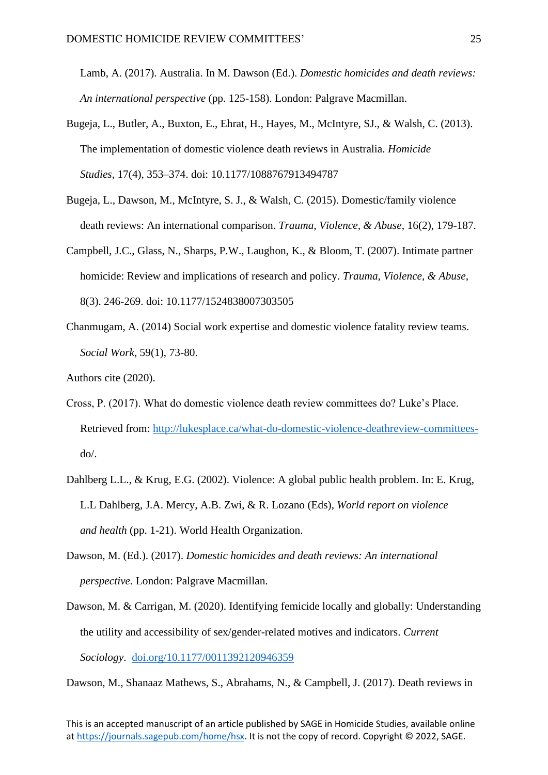Lamb, A. (2017). Australia. In M. Dawson (Ed.). *Domestic homicides and death reviews: An international perspective* (pp. 125-158). London: Palgrave Macmillan.

- Bugeja, L., Butler, A., Buxton, E., Ehrat, H., Hayes, M., McIntyre, SJ., & Walsh, C. (2013). The implementation of domestic violence death reviews in Australia. *Homicide Studies*, 17(4), 353–374. doi: 10.1177/1088767913494787
- Bugeja, L., Dawson, M., McIntyre, S. J., & Walsh, C. (2015). Domestic/family violence death reviews: An international comparison. *Trauma, Violence, & Abuse*, 16(2), 179-187.
- Campbell, J.C., Glass, N., Sharps, P.W., Laughon, K., & Bloom, T. (2007). Intimate partner homicide: Review and implications of research and policy. *Trauma, Violence, & Abuse*, 8(3). 246-269. doi: [10.1177/1524838007303505](https://doi.org/10.1177/1524838007303505)
- Chanmugam, A. (2014) Social work expertise and domestic violence fatality review teams. *Social Work*, 59(1), 73-80.

- Cross, P. (2017). What do domestic violence death review committees do? Luke's Place. Retrieved from: [http://lukesplace.ca/what-do-domestic-violence-deathreview-committees](http://lukesplace.ca/what-do-domestic-violence-deathreview-committees-) do/.
- Dahlberg L.L., & Krug, E.G. (2002). Violence: A global public health problem. In: E. Krug, L.L Dahlberg, J.A. Mercy, A.B. Zwi, & R. Lozano (Eds), *World report on violence and health* (pp. 1-21). World Health Organization.
- Dawson, M. (Ed.). (2017). *Domestic homicides and death reviews: An international perspective*. London: Palgrave Macmillan.
- Dawson, M. & Carrigan, M. (2020). Identifying femicide locally and globally: Understanding the utility and accessibility of sex/gender-related motives and indicators. *Current Sociology*. [doi.org/10.1177/0011392120946359](https://doi.org/10.1177%2F0011392120946359)

Dawson, M., Shanaaz Mathews, S., Abrahams, N., & Campbell, J. (2017). Death reviews in

Authors cite (2020).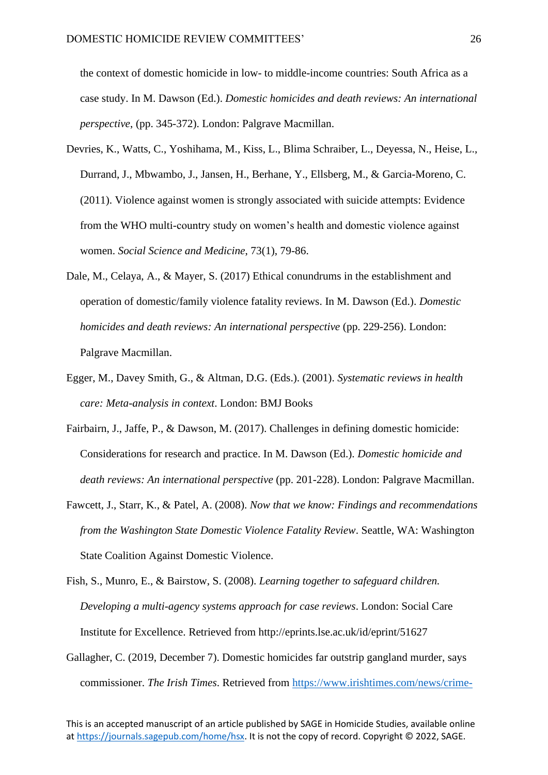the context of domestic homicide in low- to middle-income countries: South Africa as a case study. In M. Dawson (Ed.). *Domestic homicides and death reviews: An international perspective*, (pp. 345-372). London: Palgrave Macmillan.

- Devries, K., Watts, C., Yoshihama, M., Kiss, L., Blima Schraiber, L., Deyessa, N., Heise, L., Durrand, J., Mbwambo, J., Jansen, H., Berhane, Y., Ellsberg, M., & Garcia-Moreno, C. (2011). Violence against women is strongly associated with suicide attempts: Evidence from the WHO multi-country study on women's health and domestic violence against women. *Social Science and Medicine*, 73(1), 79-86.
- Dale, M., Celaya, A., & Mayer, S. (2017) Ethical conundrums in the establishment and operation of domestic/family violence fatality reviews. In M. Dawson (Ed.). *Domestic homicides and death reviews: An international perspective* (pp. 229-256). London: Palgrave Macmillan.
- Egger, M., Davey Smith, G., & Altman, D.G. (Eds.). (2001). *Systematic reviews in health care: Meta-analysis in context*. London: BMJ Books
- Fairbairn, J., Jaffe, P., & Dawson, M. (2017). Challenges in defining domestic homicide: Considerations for research and practice. In M. Dawson (Ed.). *Domestic homicide and death reviews: An international perspective* (pp. 201-228). London: Palgrave Macmillan.
- Fawcett, J., Starr, K., & Patel, A. (2008). *Now that we know: Findings and recommendations from the Washington State Domestic Violence Fatality Review*. Seattle, WA: Washington State Coalition Against Domestic Violence.
- Fish, S., Munro, E., & Bairstow, S. (2008). *Learning together to safeguard children. Developing a multi-agency systems approach for case reviews*. London: Social Care Institute for Excellence. Retrieved from<http://eprints.lse.ac.uk/id/eprint/51627>
- Gallagher, C. (2019, December 7). Domestic homicides far outstrip gangland murder, says commissioner. *The Irish Times*. Retrieved from<https://www.irishtimes.com/news/crime->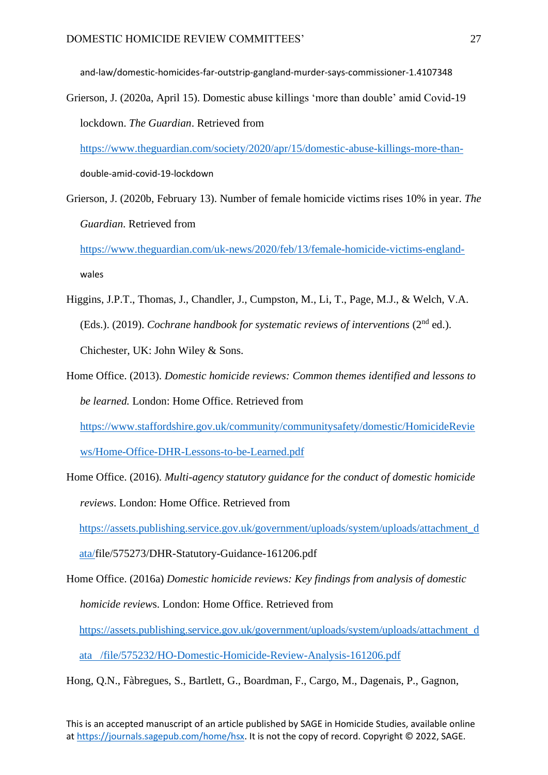and-law/domestic-homicides-far-outstrip-gangland-murder-says-commissioner-1.4107348

Grierson, J. (2020a, April 15). Domestic abuse killings 'more than double' amid Covid-19 lockdown. *The Guardian*. Retrieved from

 [https://www.theguardian.com/society/2020/apr/15/domestic-abuse-killings-more-than](https://www.theguardian.com/society/2020/apr/15/domestic-abuse-killings-more-than-) double-amid-covid-19-lockdown

Grierson, J. (2020b, February 13). Number of female homicide victims rises 10% in year. *The Guardian*. Retrieved from

 [https://www.theguardian.com/uk-news/2020/feb/13/female-homicide-victims-england](https://www.theguardian.com/uk-news/2020/feb/13/female-homicide-victims-england-) wales

- Higgins, J.P.T., Thomas, J., Chandler, J., Cumpston, M., Li, T., Page, M.J., & Welch, V.A. (Eds.). (2019). *Cochrane handbook for systematic reviews of interventions* (2<sup>nd</sup> ed.). Chichester, UK: John Wiley & Sons.
- Home Office. (2013). *Domestic homicide reviews: Common themes identified and lessons to be learned.* London: Home Office. Retrieved from [https://www.staffordshire.gov.uk/community/communitysafety/domestic/HomicideRevie](https://www.staffordshire.gov.uk/community/communitysafety/domestic/HomicideReviews/Home-Office-DHR-Lessons-to-be-Learned.pdf) [ws/Home-Office-DHR-Lessons-to-be-Learned.pdf](https://www.staffordshire.gov.uk/community/communitysafety/domestic/HomicideReviews/Home-Office-DHR-Lessons-to-be-Learned.pdf)
- Home Office. (2016). *Multi-agency statutory guidance for the conduct of domestic homicide reviews*. London: Home Office. Retrieved from [https://assets.publishing.service.gov.uk/government/uploads/system/uploads/attachment\\_d](https://assets.publishing.service.gov.uk/government/uploads/system/uploads/attachment_data/) [ata/f](https://assets.publishing.service.gov.uk/government/uploads/system/uploads/attachment_data/)ile/575273/DHR-Statutory-Guidance-161206.pdf

Home Office. (2016a) *Domestic homicide reviews: Key findings from analysis of domestic homicide review*s. London: Home Office. Retrieved from [https://assets.publishing.service.gov.uk/government/uploads/system/uploads/attachment\\_d](https://assets.publishing.service.gov.uk/government/uploads/system/uploads/attachment_data%20%20%20/file/575232/HO-Domestic-Homicide-Review-Analysis-161206.pdf) [ata /file/575232/HO-Domestic-Homicide-Review-Analysis-161206.pdf](https://assets.publishing.service.gov.uk/government/uploads/system/uploads/attachment_data%20%20%20/file/575232/HO-Domestic-Homicide-Review-Analysis-161206.pdf) 

Hong, Q.N., Fàbregues, S., Bartlett, G., Boardman, F., Cargo, M., Dagenais, P., Gagnon,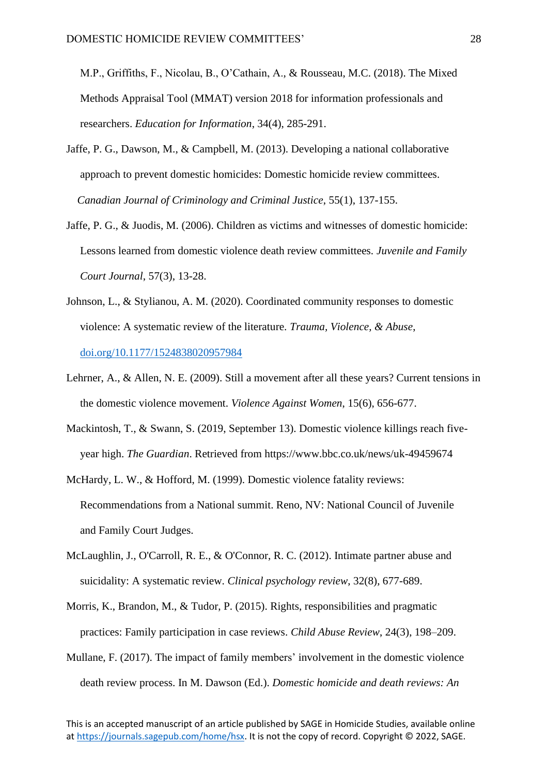M.P., Griffiths, F., Nicolau, B., O'Cathain, A., & Rousseau, M.C. (2018). The Mixed Methods Appraisal Tool (MMAT) version 2018 for information professionals and researchers. *Education for Information*, 34(4), 285-291.

- Jaffe, P. G., Dawson, M., & Campbell, M. (2013). Developing a national collaborative approach to prevent domestic homicides: Domestic homicide review committees.  *Canadian Journal of Criminology and Criminal Justice*, 55(1), 137-155.
- Jaffe, P. G., & Juodis, M. (2006). Children as victims and witnesses of domestic homicide: Lessons learned from domestic violence death review committees. *Juvenile and Family Court Journal*, 57(3), 13-28.
- Johnson, L., & Stylianou, A. M. (2020). Coordinated community responses to domestic violence: A systematic review of the literature. *Trauma, Violence, & Abuse*, [doi.org/10.1177/1524838020957984](https://doi.org/10.1177%2F1524838020957984)
- Lehrner, A., & Allen, N. E. (2009). Still a movement after all these years? Current tensions in the domestic violence movement. *Violence Against Women*, 15(6), 656-677.
- Mackintosh, T., & Swann, S. (2019, September 13). Domestic violence killings reach five year high. *The Guardian*. Retrieved from <https://www.bbc.co.uk/news/uk-49459674>
- McHardy, L. W., & Hofford, M. (1999). Domestic violence fatality reviews: Recommendations from a National summit. Reno, NV: National Council of Juvenile and Family Court Judges.
- McLaughlin, J., O'Carroll, R. E., & O'Connor, R. C. (2012). Intimate partner abuse and suicidality: A systematic review. *Clinical psychology review*, 32(8), 677-689.
- Morris, K., Brandon, M., & Tudor, P. (2015). Rights, responsibilities and pragmatic practices: Family participation in case reviews. *Child Abuse Review*, 24(3), 198–209.
- Mullane, F. (2017). The impact of family members' involvement in the domestic violence death review process. In M. Dawson (Ed.). *Domestic homicide and death reviews: An*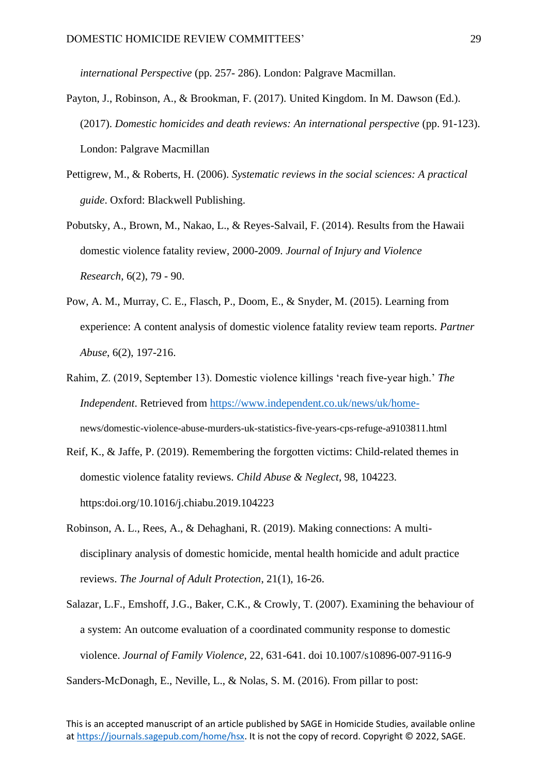*international Perspective* (pp. 257- 286). London: Palgrave Macmillan.

- Payton, J., Robinson, A., & Brookman, F. (2017). United Kingdom. In M. Dawson (Ed.). (2017). *Domestic homicides and death reviews: An international perspective* (pp. 91-123). London: Palgrave Macmillan
- Pettigrew, M., & Roberts, H. (2006). *Systematic reviews in the social sciences: A practical guide*. Oxford: Blackwell Publishing.
- Pobutsky, A., Brown, M., Nakao, L., & Reyes-Salvail, F. (2014). Results from the Hawaii domestic violence fatality review, 2000-2009. *Journal of Injury and Violence Research*, 6(2), 79 - 90.
- Pow, A. M., Murray, C. E., Flasch, P., Doom, E., & Snyder, M. (2015). Learning from experience: A content analysis of domestic violence fatality review team reports. *Partner Abuse*, 6(2), 197-216.
- Rahim, Z. (2019, September 13). Domestic violence killings 'reach five-year high.' *The Independent*. Retrieved from [https://www.independent.co.uk/news/uk/home](https://www.independent.co.uk/news/uk/home-) news/domestic-violence-abuse-murders-uk-statistics-five-years-cps-refuge-a9103811.html
- Reif, K., & Jaffe, P. (2019). Remembering the forgotten victims: Child-related themes in domestic violence fatality reviews. *Child Abuse & Neglect*, 98, 104223. [https:doi.org/10.1016/j.chiabu.2019.104223](https://doi.org/10.1016/j.chiabu.2019.104223)
- Robinson, A. L., Rees, A., & Dehaghani, R. (2019). Making connections: A multi disciplinary analysis of domestic homicide, mental health homicide and adult practice reviews. *The Journal of Adult Protection*, 21(1), 16-26.
- Salazar, L.F., Emshoff, J.G., Baker, C.K., & Crowly, T. (2007). Examining the behaviour of a system: An outcome evaluation of a coordinated community response to domestic violence. *Journal of Family Violence*, 22, 631-641. doi 10.1007/s10896-007-9116-9 Sanders-McDonagh, E., Neville, L., & Nolas, S. M. (2016). From pillar to post: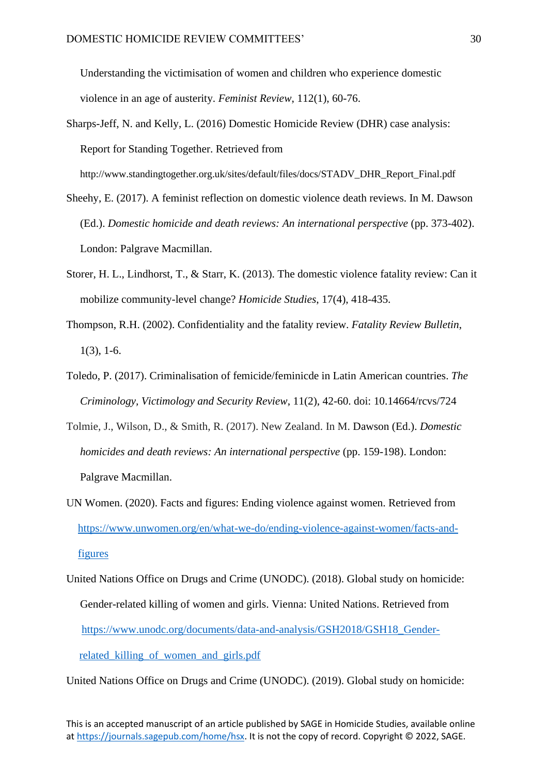Understanding the victimisation of women and children who experience domestic violence in an age of austerity. *Feminist Review*, 112(1), 60-76.

- Sharps-Jeff, N. and Kelly, L. (2016) Domestic Homicide Review (DHR) case analysis: Report for Standing Together. Retrieved from http://www.standingtogether.org.uk/sites/default/files/docs/STADV\_DHR\_Report\_Final.pdf
- Sheehy, E. (2017). A feminist reflection on domestic violence death reviews. In M. Dawson (Ed.). *Domestic homicide and death reviews: An international perspective* (pp. 373-402). London: Palgrave Macmillan.
- Storer, H. L., Lindhorst, T., & Starr, K. (2013). The domestic violence fatality review: Can it mobilize community-level change? *Homicide Studies*, 17(4), 418-435.
- Thompson, R.H. (2002). Confidentiality and the fatality review. *Fatality Review Bulletin*, 1(3), 1-6.
- Toledo, P. (2017). Criminalisation of femicide/feminicde in Latin American countries. *The Criminology, Victimology and Security Review*, 11(2), 42-60. doi: 10.14664/rcvs/724
- Tolmie, J., Wilson, D., & Smith, R. (2017). New Zealand. In M. Dawson (Ed.). *Domestic homicides and death reviews: An international perspective* (pp. 159-198). London: Palgrave Macmillan.
- UN Women. (2020). Facts and figures: Ending violence against women. Retrieved from [https://www.unwomen.org/en/what-we-do/ending-violence-against-women/facts-and](https://www.unwomen.org/en/what-we-do/ending-violence-against-women/facts-and-%20%20%20%20figures)[figures](https://www.unwomen.org/en/what-we-do/ending-violence-against-women/facts-and-%20%20%20%20figures)
- United Nations Office on Drugs and Crime (UNODC). (2018). Global study on homicide: Gender-related killing of women and girls. Vienna: United Nations. Retrieved from [https://www.unodc.org/documents/data-and-analysis/GSH2018/GSH18\\_Gender](https://www.unodc.org/documents/data-and-analysis/GSH2018/GSH18_Gender-%20related_killing_of_women_and_girls.pdf)[related\\_killing\\_of\\_women\\_and\\_girls.pdf](https://www.unodc.org/documents/data-and-analysis/GSH2018/GSH18_Gender-%20related_killing_of_women_and_girls.pdf)

United Nations Office on Drugs and Crime (UNODC). (2019). Global study on homicide: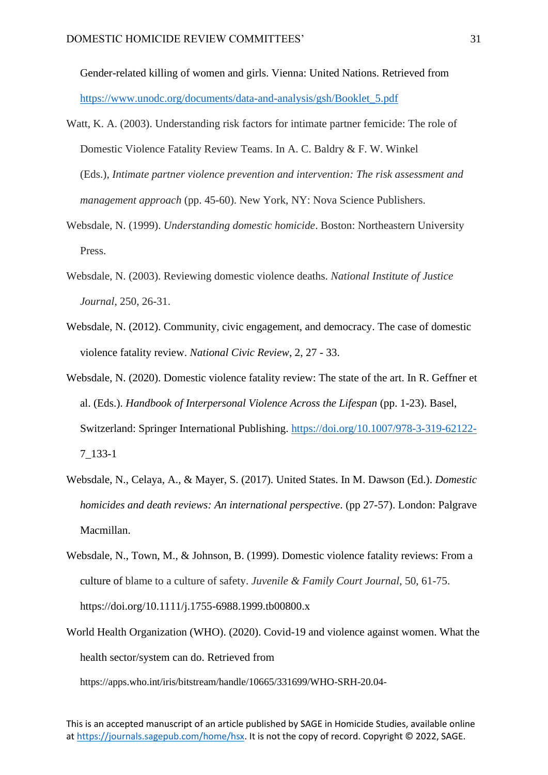Gender-related killing of women and girls. Vienna: United Nations. Retrieved from [https://www.unodc.org/documents/data-and-analysis/gsh/Booklet\\_5.pdf](https://www.unodc.org/documents/data-and-analysis/gsh/Booklet_5.pdf)

- Watt, K. A. (2003). Understanding risk factors for intimate partner femicide: The role of Domestic Violence Fatality Review Teams. In A. C. Baldry & F. W. Winkel (Eds.), *Intimate partner violence prevention and intervention: The risk assessment and management approach* (pp. 45-60). New York, NY: Nova Science Publishers.
- Websdale, N. (1999). *Understanding domestic homicide*. Boston: Northeastern University Press.
- Websdale, N. (2003). Reviewing domestic violence deaths. *National Institute of Justice Journal*, 250, 26-31.
- Websdale, N. (2012). Community, civic engagement, and democracy. The case of domestic violence fatality review. *National Civic Review*, 2, 27 - 33.
- Websdale, N. (2020). Domestic violence fatality review: The state of the art. In R. Geffner et al. (Eds.). *Handbook of Interpersonal Violence Across the Lifespan* (pp. 1-23). Basel, Switzerland: Springer International Publishing.<https://doi.org/10.1007/978-3-319-62122-> 7\_133-1
- Websdale, N., Celaya, A., & Mayer, S. (2017). United States. In M. Dawson (Ed.). *Domestic homicides and death reviews: An international perspective*. (pp 27-57). London: Palgrave Macmillan.
- Websdale, N., Town, M., & Johnson, B. (1999). Domestic violence fatality reviews: From a culture of blame to a culture of safety. *Juvenile & Family Court Journal*, 50, 61-75. <https://doi.org/10.1111/j.1755-6988.1999.tb00800.x>
- World Health Organization (WHO). (2020). Covid-19 and violence against women. What the health sector/system can do. Retrieved from

https://apps.who.int/iris/bitstream/handle/10665/331699/WHO-SRH-20.04-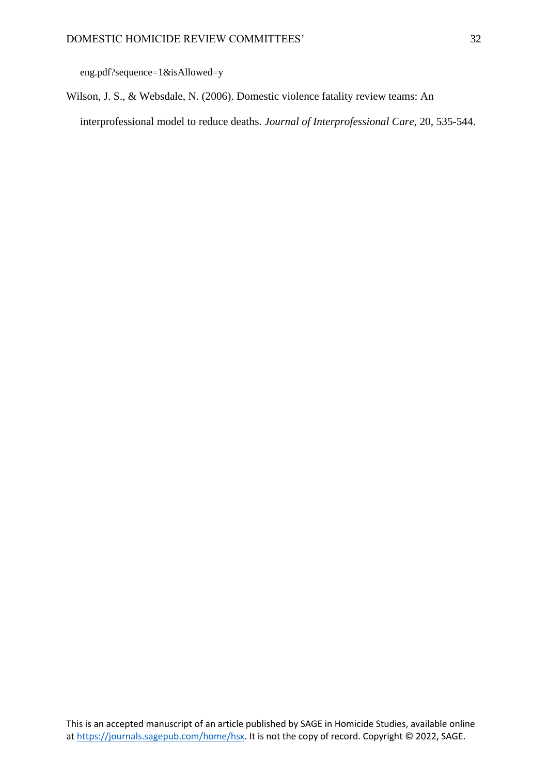eng.pdf?sequence=1&isAllowed=y

Wilson, J. S., & Websdale, N. (2006). Domestic violence fatality review teams: An interprofessional model to reduce deaths. *Journal of Interprofessional Care*, 20, 535-544.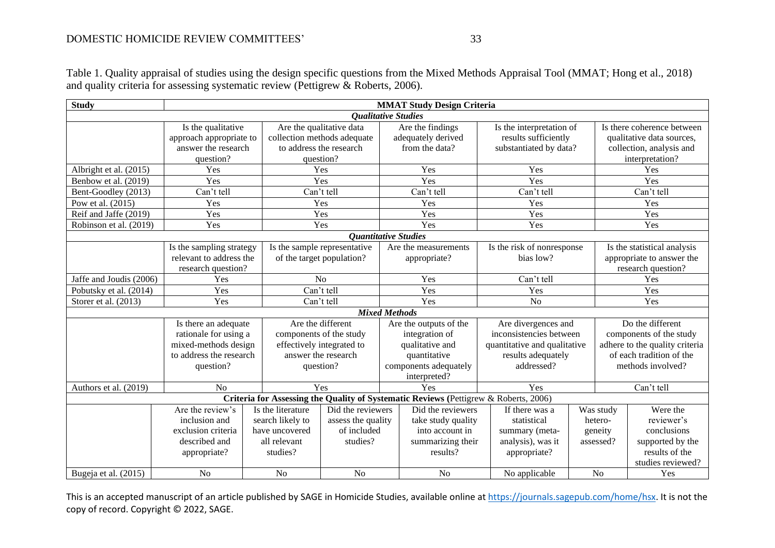Table 1. Quality appraisal of studies using the design specific questions from the Mixed Methods Appraisal Tool (MMAT; Hong et al., 2018) and quality criteria for assessing systematic review (Pettigrew & Roberts, 2006).

| <b>Study</b>               | <b>MMAT Study Design Criteria</b> |                                        |                               |                        |                                                                                      |                              |         |                                |                           |  |  |
|----------------------------|-----------------------------------|----------------------------------------|-------------------------------|------------------------|--------------------------------------------------------------------------------------|------------------------------|---------|--------------------------------|---------------------------|--|--|
| <b>Oualitative Studies</b> |                                   |                                        |                               |                        |                                                                                      |                              |         |                                |                           |  |  |
|                            | Is the qualitative                |                                        | Are the qualitative data      |                        | Are the findings                                                                     | Is the interpretation of     |         | Is there coherence between     |                           |  |  |
|                            | approach appropriate to           |                                        | collection methods adequate   |                        | adequately derived                                                                   | results sufficiently         |         |                                | qualitative data sources, |  |  |
|                            | answer the research               |                                        | to address the research       |                        | from the data?                                                                       | substantiated by data?       |         | collection, analysis and       |                           |  |  |
|                            | question?                         |                                        | question?                     |                        |                                                                                      |                              |         |                                | interpretation?           |  |  |
| Albright et al. (2015)     | Yes                               |                                        | Yes                           |                        | Yes                                                                                  | Yes                          |         | Yes                            |                           |  |  |
| Benbow et al. (2019)       | Yes                               |                                        | Yes                           |                        | Yes                                                                                  | Yes                          |         |                                | Yes                       |  |  |
| Bent-Goodley (2013)        | Can't tell                        |                                        | Can't tell                    |                        | Can't tell                                                                           | Can't tell                   |         | Can't tell                     |                           |  |  |
| Pow et al. (2015)          | Yes                               |                                        | Yes<br>Yes                    |                        | Yes                                                                                  |                              |         | Yes                            |                           |  |  |
| Reif and Jaffe (2019)      | Yes                               |                                        | Yes                           |                        | Yes                                                                                  | Yes                          |         | Yes                            |                           |  |  |
| Robinson et al. (2019)     | Yes                               |                                        | Yes                           |                        | Yes                                                                                  | Yes                          |         | Yes                            |                           |  |  |
|                            |                                   |                                        | <b>Quantitative Studies</b>   |                        |                                                                                      |                              |         |                                |                           |  |  |
| Is the sampling strategy   |                                   | Is the sample representative           |                               |                        | Are the measurements                                                                 | Is the risk of nonresponse   |         | Is the statistical analysis    |                           |  |  |
| relevant to address the    |                                   | of the target population?              |                               |                        | bias low?<br>appropriate?                                                            |                              |         |                                | appropriate to answer the |  |  |
|                            | research question?                |                                        |                               |                        |                                                                                      |                              |         | research question?             |                           |  |  |
| Jaffe and Joudis (2006)    | Yes                               | N <sub>o</sub>                         |                               |                        | Yes                                                                                  | Can't tell                   |         |                                | Yes                       |  |  |
| Pobutsky et al. (2014)     | Yes                               |                                        | Can't tell                    |                        | Yes                                                                                  | Yes                          |         | Yes                            |                           |  |  |
| Storer et al. (2013)       | Yes                               | Can't tell                             |                               | Yes                    |                                                                                      | N <sub>o</sub>               |         | Yes                            |                           |  |  |
|                            |                                   |                                        | <b>Mixed Methods</b>          |                        |                                                                                      |                              |         |                                |                           |  |  |
|                            | Is there an adequate              |                                        | Are the different             | Are the outputs of the |                                                                                      | Are divergences and          |         | Do the different               |                           |  |  |
|                            | rationale for using a             | components of the study                |                               | integration of         |                                                                                      | inconsistencies between      |         | components of the study        |                           |  |  |
|                            | mixed-methods design              | effectively integrated to              |                               | qualitative and        |                                                                                      | quantitative and qualitative |         | adhere to the quality criteria |                           |  |  |
|                            | to address the research           | answer the research                    |                               | quantitative           |                                                                                      | results adequately           |         | of each tradition of the       |                           |  |  |
| question?                  |                                   | question?                              |                               | components adequately  |                                                                                      | addressed?                   |         | methods involved?              |                           |  |  |
|                            |                                   |                                        |                               |                        | interpreted?                                                                         |                              |         |                                |                           |  |  |
| Authors et al. (2019)      | No                                |                                        | Yes                           |                        | Yes                                                                                  | Yes                          |         |                                | Can't tell                |  |  |
|                            |                                   |                                        |                               |                        | Criteria for Assessing the Quality of Systematic Reviews (Pettigrew & Roberts, 2006) |                              |         |                                |                           |  |  |
|                            | Are the review's                  | Is the literature                      | Did the reviewers             |                        | Did the reviewers                                                                    | If there was a               |         | Was study                      | Were the                  |  |  |
|                            | inclusion and                     | search likely to<br>assess the quality |                               | take study quality     |                                                                                      | statistical                  | hetero- |                                | reviewer's                |  |  |
|                            | exclusion criteria                |                                        | have uncovered<br>of included |                        | into account in                                                                      | summary (meta-               | geneity |                                | conclusions               |  |  |
|                            | described and                     | all relevant                           | studies?                      |                        | summarizing their                                                                    | analysis), was it            |         | assessed?                      | supported by the          |  |  |
|                            | appropriate?                      | studies?                               |                               |                        | results?                                                                             | appropriate?                 |         |                                | results of the            |  |  |
|                            |                                   |                                        |                               |                        |                                                                                      |                              |         |                                | studies reviewed?         |  |  |
| Bugeja et al. (2015)       | No                                | N <sub>o</sub>                         | No                            |                        | N <sub>o</sub>                                                                       | No applicable                |         | N <sub>o</sub>                 | Yes                       |  |  |

This is an accepted manuscript of an article published by SAGE in Homicide Studies, available online at [https://journals.sagepub.com/home/hsx.](https://journals.sagepub.com/home/hsx) It is not the copy of record. Copyright © 2022, SAGE.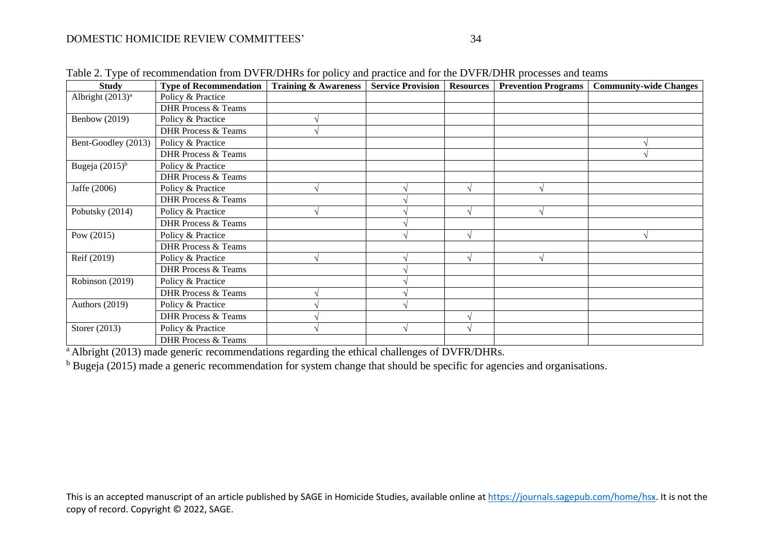| <b>Study</b>                 | <b>Type of Recommendation</b>  | <b>Training &amp; Awareness</b> | <b>Service Provision</b> | <b>Resources</b> | <b>Prevention Programs</b> | <b>Community-wide Changes</b> |
|------------------------------|--------------------------------|---------------------------------|--------------------------|------------------|----------------------------|-------------------------------|
| Albright (2013) <sup>a</sup> | Policy & Practice              |                                 |                          |                  |                            |                               |
|                              | <b>DHR Process &amp; Teams</b> |                                 |                          |                  |                            |                               |
| <b>Benbow</b> (2019)         | Policy & Practice              |                                 |                          |                  |                            |                               |
|                              | <b>DHR Process &amp; Teams</b> |                                 |                          |                  |                            |                               |
| Bent-Goodley (2013)          | Policy & Practice              |                                 |                          |                  |                            |                               |
|                              | <b>DHR Process &amp; Teams</b> |                                 |                          |                  |                            |                               |
| Bugeja $(2015)^b$            | Policy & Practice              |                                 |                          |                  |                            |                               |
|                              | <b>DHR Process &amp; Teams</b> |                                 |                          |                  |                            |                               |
| Jaffe (2006)                 | Policy & Practice              |                                 |                          | $\mathcal{N}$    |                            |                               |
|                              | <b>DHR Process &amp; Teams</b> |                                 |                          |                  |                            |                               |
| Pobutsky (2014)              | Policy & Practice              |                                 |                          |                  |                            |                               |
|                              | <b>DHR Process &amp; Teams</b> |                                 |                          |                  |                            |                               |
| Pow $(2015)$                 | Policy & Practice              |                                 |                          |                  |                            |                               |
|                              | <b>DHR Process &amp; Teams</b> |                                 |                          |                  |                            |                               |
| Reif (2019)                  | Policy & Practice              |                                 |                          |                  |                            |                               |
|                              | <b>DHR Process &amp; Teams</b> |                                 |                          |                  |                            |                               |
| Robinson (2019)              | Policy & Practice              |                                 |                          |                  |                            |                               |
|                              | <b>DHR Process &amp; Teams</b> |                                 |                          |                  |                            |                               |
| Authors (2019)               | Policy & Practice              |                                 |                          |                  |                            |                               |
|                              | <b>DHR Process &amp; Teams</b> |                                 |                          |                  |                            |                               |
| Storer (2013)                | Policy & Practice              |                                 | N                        | $\mathcal{N}$    |                            |                               |
|                              | <b>DHR Process &amp; Teams</b> |                                 |                          |                  |                            |                               |

Table 2. Type of recommendation from DVFR/DHRs for policy and practice and for the DVFR/DHR processes and teams

<sup>a</sup> Albright (2013) made generic recommendations regarding the ethical challenges of DVFR/DHRs.

<sup>b</sup> Bugeja (2015) made a generic recommendation for system change that should be specific for agencies and organisations.

This is an accepted manuscript of an article published by SAGE in Homicide Studies, available online at [https://journals.sagepub.com/home/hsx.](https://journals.sagepub.com/home/hsx) It is not the copy of record. Copyright © 2022, SAGE.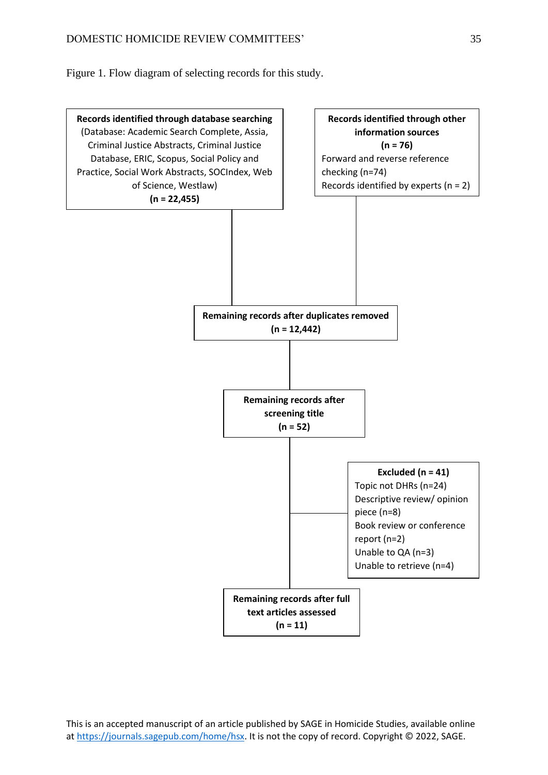Figure 1. Flow diagram of selecting records for this study.



This is an accepted manuscript of an article published by SAGE in Homicide Studies, available online a[t https://journals.sagepub.com/home/hsx.](https://journals.sagepub.com/home/hsx) It is not the copy of record. Copyright © 2022, SAGE.